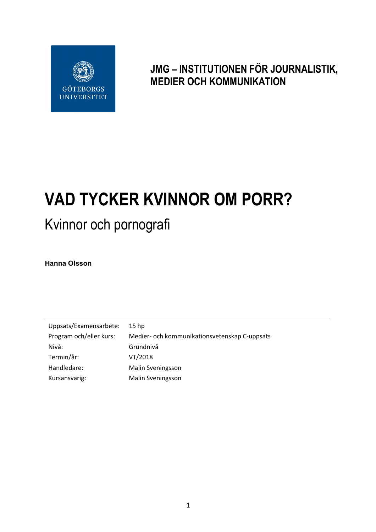

**JMG – INSTITUTIONEN FÖR JOURNALISTIK, MEDIER OCH KOMMUNIKATION**

# **VAD TYCKER KVINNOR OM PORR?**

# Kvinnor och pornografi

**Hanna Olsson**

| Uppsats/Examensarbete:  | 15 <sub>hp</sub>                              |
|-------------------------|-----------------------------------------------|
| Program och/eller kurs: | Medier- och kommunikationsvetenskap C-uppsats |
| Nivå:                   | Grundnivå                                     |
| Termin/år:              | VT/2018                                       |
| Handledare:             | Malin Sveningsson                             |
| Kursansvarig:           | Malin Sveningsson                             |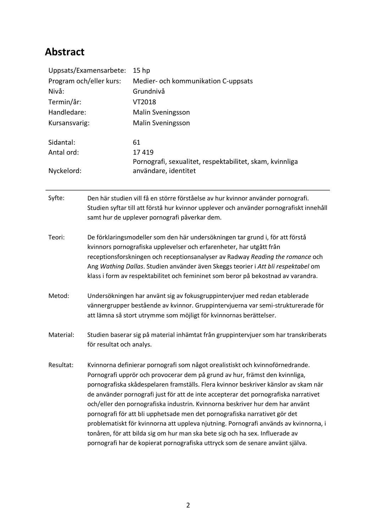# **Abstract**

| Uppsats/Examensarbete:<br>Program och/eller kurs:<br>Nivå: |                                                                                                                                                                                                                                                                                                                                                                                                                                                                                                                                                                                                                                                                                                                                                                    | 15 <sub>hp</sub><br>Medier- och kommunikation C-uppsats<br>Grundnivå             |  |             |  |                   |
|------------------------------------------------------------|--------------------------------------------------------------------------------------------------------------------------------------------------------------------------------------------------------------------------------------------------------------------------------------------------------------------------------------------------------------------------------------------------------------------------------------------------------------------------------------------------------------------------------------------------------------------------------------------------------------------------------------------------------------------------------------------------------------------------------------------------------------------|----------------------------------------------------------------------------------|--|-------------|--|-------------------|
|                                                            |                                                                                                                                                                                                                                                                                                                                                                                                                                                                                                                                                                                                                                                                                                                                                                    |                                                                                  |  | Termin/år:  |  | VT2018            |
|                                                            |                                                                                                                                                                                                                                                                                                                                                                                                                                                                                                                                                                                                                                                                                                                                                                    |                                                                                  |  | Handledare: |  | Malin Sveningsson |
| Kursansvarig:                                              |                                                                                                                                                                                                                                                                                                                                                                                                                                                                                                                                                                                                                                                                                                                                                                    | Malin Sveningsson                                                                |  |             |  |                   |
| Sidantal:                                                  |                                                                                                                                                                                                                                                                                                                                                                                                                                                                                                                                                                                                                                                                                                                                                                    | 61                                                                               |  |             |  |                   |
| Antal ord:                                                 |                                                                                                                                                                                                                                                                                                                                                                                                                                                                                                                                                                                                                                                                                                                                                                    | 17419                                                                            |  |             |  |                   |
| Nyckelord:                                                 |                                                                                                                                                                                                                                                                                                                                                                                                                                                                                                                                                                                                                                                                                                                                                                    | Pornografi, sexualitet, respektabilitet, skam, kvinnliga<br>användare, identitet |  |             |  |                   |
| Syfte:                                                     | Den här studien vill få en större förståelse av hur kvinnor använder pornografi.<br>Studien syftar till att förstå hur kvinnor upplever och använder pornografiskt innehåll<br>samt hur de upplever pornografi påverkar dem.                                                                                                                                                                                                                                                                                                                                                                                                                                                                                                                                       |                                                                                  |  |             |  |                   |
| Teori:                                                     | De förklaringsmodeller som den här undersökningen tar grund i, för att förstå<br>kvinnors pornografiska upplevelser och erfarenheter, har utgått från<br>receptionsforskningen och receptionsanalyser av Radway Reading the romance och<br>Ang Wathing Dallas. Studien använder även Skeggs teorier i Att bli respektabel om<br>klass i form av respektabilitet och femininet som beror på bekostnad av varandra.                                                                                                                                                                                                                                                                                                                                                  |                                                                                  |  |             |  |                   |
| Metod:                                                     | Undersökningen har använt sig av fokusgruppintervjuer med redan etablerade<br>vännergrupper bestående av kvinnor. Gruppintervjuerna var semi-strukturerade för<br>att lämna så stort utrymme som möjligt för kvinnornas berättelser.                                                                                                                                                                                                                                                                                                                                                                                                                                                                                                                               |                                                                                  |  |             |  |                   |
| Material:                                                  | Studien baserar sig på material inhämtat från gruppintervjuer som har transkriberats<br>för resultat och analys.                                                                                                                                                                                                                                                                                                                                                                                                                                                                                                                                                                                                                                                   |                                                                                  |  |             |  |                   |
| Resultat:                                                  | Kvinnorna definierar pornografi som något orealistiskt och kvinnoförnedrande.<br>Pornografi upprör och provocerar dem på grund av hur, främst den kvinnliga,<br>pornografiska skådespelaren framställs. Flera kvinnor beskriver känslor av skam när<br>de använder pornografi just för att de inte accepterar det pornografiska narrativet<br>och/eller den pornografiska industrin. Kvinnorna beskriver hur dem har använt<br>pornografi för att bli upphetsade men det pornografiska narrativet gör det<br>problematiskt för kvinnorna att uppleva njutning. Pornografi används av kvinnorna, i<br>tonåren, för att bilda sig om hur man ska bete sig och ha sex. Influerade av<br>pornografi har de kopierat pornografiska uttryck som de senare använt själva. |                                                                                  |  |             |  |                   |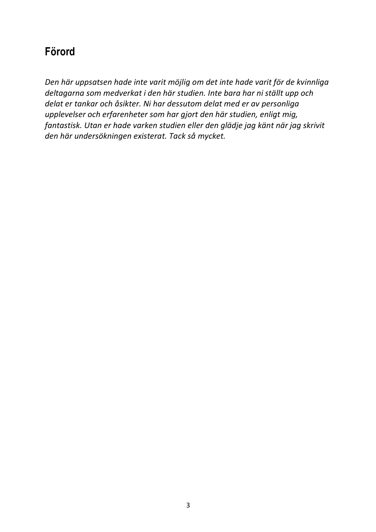# **Förord**

*Den här uppsatsen hade inte varit möjlig om det inte hade varit för de kvinnliga deltagarna som medverkat i den här studien. Inte bara har ni ställt upp och delat er tankar och åsikter. Ni har dessutom delat med er av personliga upplevelser och erfarenheter som har gjort den här studien, enligt mig, fantastisk. Utan er hade varken studien eller den glädje jag känt när jag skrivit den här undersökningen existerat. Tack så mycket.*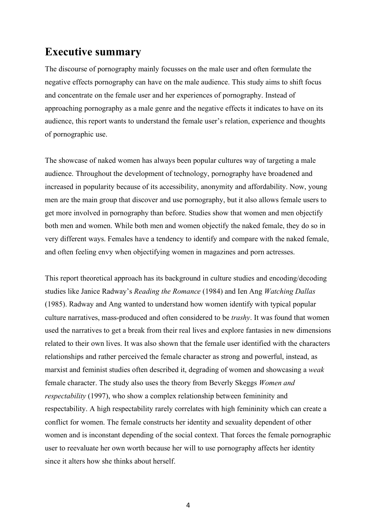# **Executive summary**

The discourse of pornography mainly focusses on the male user and often formulate the negative effects pornography can have on the male audience. This study aims to shift focus and concentrate on the female user and her experiences of pornography. Instead of approaching pornography as a male genre and the negative effects it indicates to have on its audience, this report wants to understand the female user's relation, experience and thoughts of pornographic use.

The showcase of naked women has always been popular cultures way of targeting a male audience. Throughout the development of technology, pornography have broadened and increased in popularity because of its accessibility, anonymity and affordability. Now, young men are the main group that discover and use pornography, but it also allows female users to get more involved in pornography than before. Studies show that women and men objectify both men and women. While both men and women objectify the naked female, they do so in very different ways. Females have a tendency to identify and compare with the naked female, and often feeling envy when objectifying women in magazines and porn actresses.

This report theoretical approach has its background in culture studies and encoding/decoding studies like Janice Radway's *Reading the Romance* (1984) and Ien Ang *Watching Dallas* (1985). Radway and Ang wanted to understand how women identify with typical popular culture narratives, mass-produced and often considered to be *trashy*. It was found that women used the narratives to get a break from their real lives and explore fantasies in new dimensions related to their own lives. It was also shown that the female user identified with the characters relationships and rather perceived the female character as strong and powerful, instead, as marxist and feminist studies often described it, degrading of women and showcasing a *weak* female character. The study also uses the theory from Beverly Skeggs *Women and respectability* (1997), who show a complex relationship between femininity and respectability. A high respectability rarely correlates with high femininity which can create a conflict for women. The female constructs her identity and sexuality dependent of other women and is inconstant depending of the social context. That forces the female pornographic user to reevaluate her own worth because her will to use pornography affects her identity since it alters how she thinks about herself.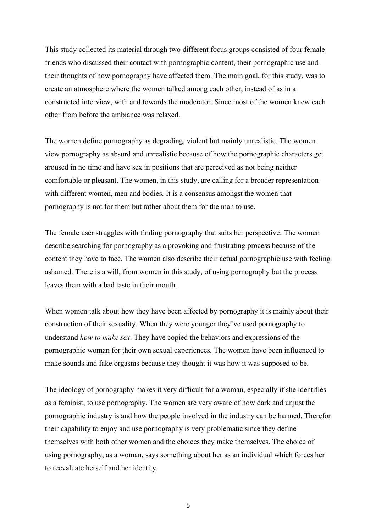This study collected its material through two different focus groups consisted of four female friends who discussed their contact with pornographic content, their pornographic use and their thoughts of how pornography have affected them. The main goal, for this study, was to create an atmosphere where the women talked among each other, instead of as in a constructed interview, with and towards the moderator. Since most of the women knew each other from before the ambiance was relaxed.

The women define pornography as degrading, violent but mainly unrealistic. The women view pornography as absurd and unrealistic because of how the pornographic characters get aroused in no time and have sex in positions that are perceived as not being neither comfortable or pleasant. The women, in this study, are calling for a broader representation with different women, men and bodies. It is a consensus amongst the women that pornography is not for them but rather about them for the man to use.

The female user struggles with finding pornography that suits her perspective. The women describe searching for pornography as a provoking and frustrating process because of the content they have to face. The women also describe their actual pornographic use with feeling ashamed. There is a will, from women in this study, of using pornography but the process leaves them with a bad taste in their mouth.

When women talk about how they have been affected by pornography it is mainly about their construction of their sexuality. When they were younger they've used pornography to understand *how to make sex*. They have copied the behaviors and expressions of the pornographic woman for their own sexual experiences. The women have been influenced to make sounds and fake orgasms because they thought it was how it was supposed to be.

The ideology of pornography makes it very difficult for a woman, especially if she identifies as a feminist, to use pornography. The women are very aware of how dark and unjust the pornographic industry is and how the people involved in the industry can be harmed. Therefor their capability to enjoy and use pornography is very problematic since they define themselves with both other women and the choices they make themselves. The choice of using pornography, as a woman, says something about her as an individual which forces her to reevaluate herself and her identity.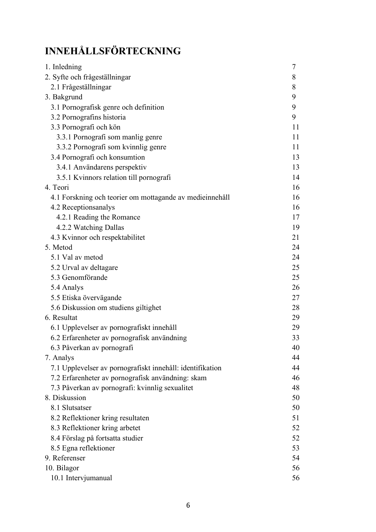# **INNEHÅLLSFÖRTECKNING**

| 1. Inledning                                              | 7  |
|-----------------------------------------------------------|----|
| 2. Syfte och frågeställningar                             | 8  |
| 2.1 Frågeställningar                                      | 8  |
| 3. Bakgrund                                               | 9  |
| 3.1 Pornografisk genre och definition                     | 9  |
| 3.2 Pornografins historia                                 | 9  |
| 3.3 Pornografi och kön                                    | 11 |
| 3.3.1 Pornografi som manlig genre                         | 11 |
| 3.3.2 Pornografi som kvinnlig genre                       | 11 |
| 3.4 Pornografi och konsumtion                             | 13 |
| 3.4.1 Användarens perspektiv                              | 13 |
| 3.5.1 Kvinnors relation till pornografi                   | 14 |
| 4. Teori                                                  | 16 |
| 4.1 Forskning och teorier om mottagande av medieinnehåll  | 16 |
| 4.2 Receptions analys                                     | 16 |
| 4.2.1 Reading the Romance                                 | 17 |
| 4.2.2 Watching Dallas                                     | 19 |
| 4.3 Kvinnor och respektabilitet                           | 21 |
| 5. Metod                                                  | 24 |
| 5.1 Val av metod                                          | 24 |
| 5.2 Urval av deltagare                                    | 25 |
| 5.3 Genomförande                                          | 25 |
| 5.4 Analys                                                | 26 |
| 5.5 Etiska övervägande                                    | 27 |
| 5.6 Diskussion om studiens giltighet                      | 28 |
| 6. Resultat                                               | 29 |
| 6.1 Upplevelser av pornografiskt innehåll                 | 29 |
| 6.2 Erfarenheter av pornografisk användning               | 33 |
| 6.3 Påverkan av pornografi                                | 40 |
| 7. Analys                                                 | 44 |
| 7.1 Upplevelser av pornografiskt innehåll: identifikation | 44 |
| 7.2 Erfarenheter av pornografisk användning: skam         | 46 |
| 7.3 Påverkan av pornografi: kvinnlig sexualitet           | 48 |
| 8. Diskussion                                             | 50 |
| 8.1 Slutsatser                                            | 50 |
| 8.2 Reflektioner kring resultaten                         | 51 |
| 8.3 Reflektioner kring arbetet                            | 52 |
| 8.4 Förslag på fortsatta studier                          | 52 |
| 8.5 Egna reflektioner                                     | 53 |
| 9. Referenser                                             | 54 |
| 10. Bilagor                                               | 56 |
| 10.1 Intervjumanual                                       | 56 |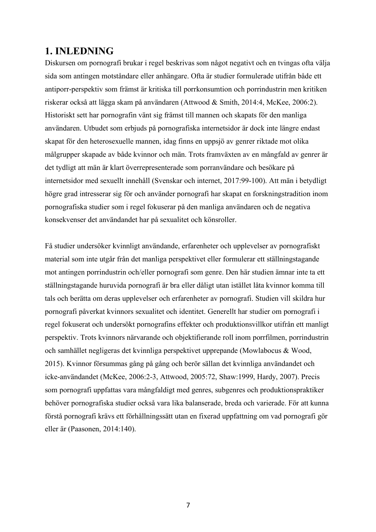# **1. INLEDNING**

Diskursen om pornografi brukar i regel beskrivas som något negativt och en tvingas ofta välja sida som antingen motståndare eller anhängare. Ofta är studier formulerade utifrån både ett antiporr-perspektiv som främst är kritiska till porrkonsumtion och porrindustrin men kritiken riskerar också att lägga skam på användaren (Attwood & Smith, 2014:4, McKee, 2006:2). Historiskt sett har pornografin vänt sig främst till mannen och skapats för den manliga användaren. Utbudet som erbjuds på pornografiska internetsidor är dock inte längre endast skapat för den heterosexuelle mannen, idag finns en uppsjö av genrer riktade mot olika målgrupper skapade av både kvinnor och män. Trots framväxten av en mångfald av genrer är det tydligt att män är klart överrepresenterade som porranvändare och besökare på internetsidor med sexuellt innehåll (Svenskar och internet, 2017:99-100). Att män i betydligt högre grad intresserar sig för och använder pornografi har skapat en forskningstradition inom pornografiska studier som i regel fokuserar på den manliga användaren och de negativa konsekvenser det användandet har på sexualitet och könsroller.

Få studier undersöker kvinnligt användande, erfarenheter och upplevelser av pornografiskt material som inte utgår från det manliga perspektivet eller formulerar ett ställningstagande mot antingen porrindustrin och/eller pornografi som genre. Den här studien ämnar inte ta ett ställningstagande huruvida pornografi är bra eller dåligt utan istället låta kvinnor komma till tals och berätta om deras upplevelser och erfarenheter av pornografi. Studien vill skildra hur pornografi påverkat kvinnors sexualitet och identitet. Generellt har studier om pornografi i regel fokuserat och undersökt pornografins effekter och produktionsvillkor utifrån ett manligt perspektiv. Trots kvinnors närvarande och objektifierande roll inom porrfilmen, porrindustrin och samhället negligeras det kvinnliga perspektivet upprepande (Mowlabocus & Wood, 2015). Kvinnor försummas gång på gång och berör sällan det kvinnliga användandet och icke-användandet (McKee, 2006:2-3, Attwood, 2005:72, Shaw:1999, Hardy, 2007). Precis som pornografi uppfattas vara mångfaldigt med genres, subgenres och produktionspraktiker behöver pornografiska studier också vara lika balanserade, breda och varierade. För att kunna förstå pornografi krävs ett förhållningssätt utan en fixerad uppfattning om vad pornografi gör eller är (Paasonen, 2014:140).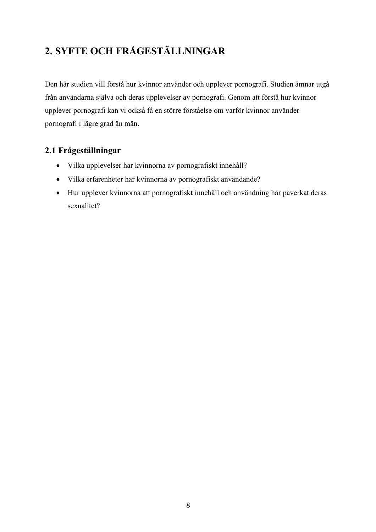# **2. SYFTE OCH FRÅGESTÄLLNINGAR**

Den här studien vill förstå hur kvinnor använder och upplever pornografi. Studien ämnar utgå från användarna själva och deras upplevelser av pornografi. Genom att förstå hur kvinnor upplever pornografi kan vi också få en större förståelse om varför kvinnor använder pornografi i lägre grad än män.

# **2.1 Frågeställningar**

- Vilka upplevelser har kvinnorna av pornografiskt innehåll?
- Vilka erfarenheter har kvinnorna av pornografiskt användande?
- Hur upplever kvinnorna att pornografiskt innehåll och användning har påverkat deras sexualitet?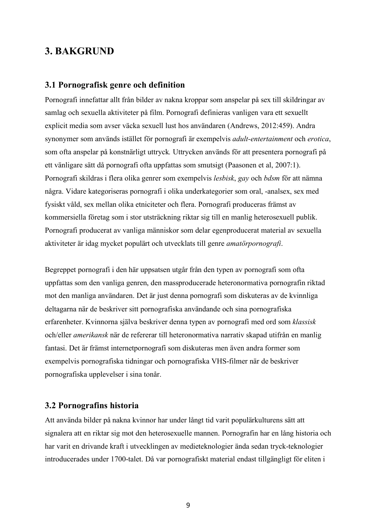# **3. BAKGRUND**

#### **3.1 Pornografisk genre och definition**

Pornografi innefattar allt från bilder av nakna kroppar som anspelar på sex till skildringar av samlag och sexuella aktiviteter på film. Pornografi definieras vanligen vara ett sexuellt explicit media som avser väcka sexuell lust hos användaren (Andrews, 2012:459). Andra synonymer som används istället för pornografi är exempelvis *adult-entertainment* och *erotica*, som ofta anspelar på konstnärligt uttryck*.* Uttrycken används för att presentera pornografi på ett vänligare sätt då pornografi ofta uppfattas som smutsigt (Paasonen et al, 2007:1). Pornografi skildras i flera olika genrer som exempelvis *lesbisk*, *gay* och *bdsm* för att nämna några. Vidare kategoriseras pornografi i olika underkategorier som oral, -analsex, sex med fysiskt våld, sex mellan olika etniciteter och flera. Pornografi produceras främst av kommersiella företag som i stor utsträckning riktar sig till en manlig heterosexuell publik. Pornografi producerat av vanliga människor som delar egenproducerat material av sexuella aktiviteter är idag mycket populärt och utvecklats till genre *amatörpornografi*.

Begreppet pornografi i den här uppsatsen utgår från den typen av pornografi som ofta uppfattas som den vanliga genren, den massproducerade heteronormativa pornografin riktad mot den manliga användaren. Det är just denna pornografi som diskuteras av de kvinnliga deltagarna när de beskriver sitt pornografiska användande och sina pornografiska erfarenheter. Kvinnorna själva beskriver denna typen av pornografi med ord som *klassisk* och/eller *amerikansk* när de refererar till heteronormativa narrativ skapad utifrån en manlig fantasi. Det är främst internetpornografi som diskuteras men även andra former som exempelvis pornografiska tidningar och pornografiska VHS-filmer när de beskriver pornografiska upplevelser i sina tonår.

### **3.2 Pornografins historia**

Att använda bilder på nakna kvinnor har under långt tid varit populärkulturens sätt att signalera att en riktar sig mot den heterosexuelle mannen. Pornografin har en lång historia och har varit en drivande kraft i utvecklingen av medieteknologier ända sedan tryck-teknologier introducerades under 1700-talet. Då var pornografiskt material endast tillgängligt för eliten i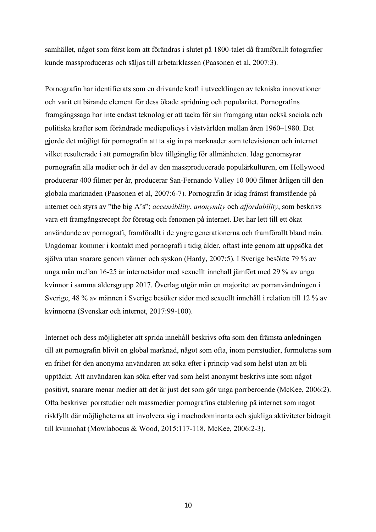samhället, något som först kom att förändras i slutet på 1800-talet då framförallt fotografier kunde massproduceras och säljas till arbetarklassen (Paasonen et al, 2007:3).

Pornografin har identifierats som en drivande kraft i utvecklingen av tekniska innovationer och varit ett bärande element för dess ökade spridning och popularitet. Pornografins framgångssaga har inte endast teknologier att tacka för sin framgång utan också sociala och politiska krafter som förändrade mediepolicys i västvärlden mellan åren 1960–1980. Det gjorde det möjligt för pornografin att ta sig in på marknader som televisionen och internet vilket resulterade i att pornografin blev tillgänglig för allmänheten. Idag genomsyrar pornografin alla medier och är del av den massproducerade populärkulturen, om Hollywood producerar 400 filmer per år, producerar San-Fernando Valley 10 000 filmer årligen till den globala marknaden (Paasonen et al, 2007:6-7). Pornografin är idag främst framstående på internet och styrs av "the big A's"; *accessibility*, *anonymity* och *affordability*, som beskrivs vara ett framgångsrecept för företag och fenomen på internet. Det har lett till ett ökat användande av pornografi, framförallt i de yngre generationerna och framförallt bland män. Ungdomar kommer i kontakt med pornografi i tidig ålder, oftast inte genom att uppsöka det själva utan snarare genom vänner och syskon (Hardy, 2007:5). I Sverige besökte 79 % av unga män mellan 16-25 år internetsidor med sexuellt innehåll jämfört med 29 % av unga kvinnor i samma åldersgrupp 2017. Överlag utgör män en majoritet av porranvändningen i Sverige, 48 % av männen i Sverige besöker sidor med sexuellt innehåll i relation till 12 % av kvinnorna (Svenskar och internet, 2017:99-100).

Internet och dess möjligheter att sprida innehåll beskrivs ofta som den främsta anledningen till att pornografin blivit en global marknad, något som ofta, inom porrstudier, formuleras som en frihet för den anonyma användaren att söka efter i princip vad som helst utan att bli upptäckt. Att användaren kan söka efter vad som helst anonymt beskrivs inte som något positivt, snarare menar medier att det är just det som gör unga porrberoende (McKee, 2006:2). Ofta beskriver porrstudier och massmedier pornografins etablering på internet som något riskfyllt där möjligheterna att involvera sig i machodominanta och sjukliga aktiviteter bidragit till kvinnohat (Mowlabocus & Wood, 2015:117-118, McKee, 2006:2-3).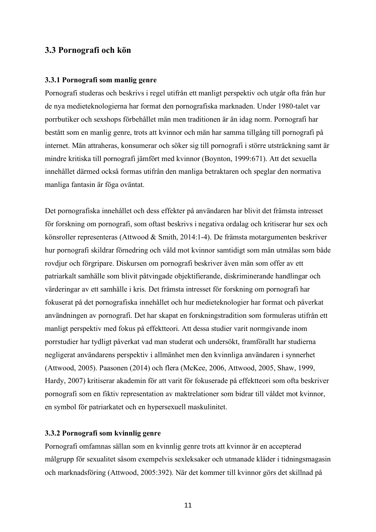#### **3.3 Pornografi och kön**

#### **3.3.1 Pornografi som manlig genre**

Pornografi studeras och beskrivs i regel utifrån ett manligt perspektiv och utgår ofta från hur de nya medieteknologierna har format den pornografiska marknaden. Under 1980-talet var porrbutiker och sexshops förbehållet män men traditionen är än idag norm. Pornografi har bestått som en manlig genre, trots att kvinnor och män har samma tillgång till pornografi på internet. Män attraheras, konsumerar och söker sig till pornografi i större utsträckning samt är mindre kritiska till pornografi jämfört med kvinnor (Boynton, 1999:671). Att det sexuella innehållet därmed också formas utifrån den manliga betraktaren och speglar den normativa manliga fantasin är föga oväntat.

Det pornografiska innehållet och dess effekter på användaren har blivit det främsta intresset för forskning om pornografi, som oftast beskrivs i negativa ordalag och kritiserar hur sex och könsroller representeras (Attwood & Smith, 2014:1-4). De främsta motargumenten beskriver hur pornografi skildrar förnedring och våld mot kvinnor samtidigt som män utmålas som både rovdjur och förgripare. Diskursen om pornografi beskriver även män som offer av ett patriarkalt samhälle som blivit påtvingade objektifierande, diskriminerande handlingar och värderingar av ett samhälle i kris. Det främsta intresset för forskning om pornografi har fokuserat på det pornografiska innehållet och hur medieteknologier har format och påverkat användningen av pornografi. Det har skapat en forskningstradition som formuleras utifrån ett manligt perspektiv med fokus på effektteori. Att dessa studier varit normgivande inom porrstudier har tydligt påverkat vad man studerat och undersökt, framförallt har studierna negligerat användarens perspektiv i allmänhet men den kvinnliga användaren i synnerhet (Attwood, 2005). Paasonen (2014) och flera (McKee, 2006, Attwood, 2005, Shaw, 1999, Hardy, 2007) kritiserar akademin för att varit för fokuserade på effektteori som ofta beskriver pornografi som en fiktiv representation av maktrelationer som bidrar till våldet mot kvinnor, en symbol för patriarkatet och en hypersexuell maskulinitet.

#### **3.3.2 Pornografi som kvinnlig genre**

Pornografi omfamnas sällan som en kvinnlig genre trots att kvinnor är en accepterad målgrupp för sexualitet såsom exempelvis sexleksaker och utmanade kläder i tidningsmagasin och marknadsföring (Attwood, 2005:392). När det kommer till kvinnor görs det skillnad på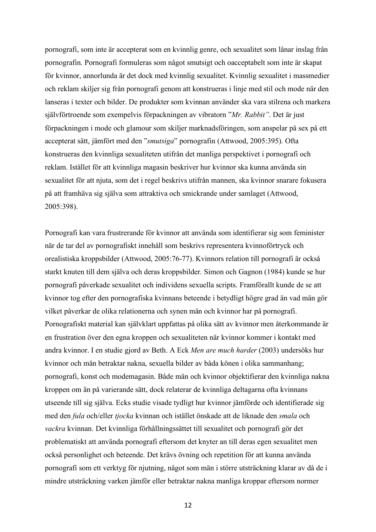pornografi, som inte är accepterat som en kvinnlig genre, och sexualitet som lånar inslag från pornografin. Pornografi formuleras som något smutsigt och oacceptabelt som inte är skapat för kvinnor, annorlunda är det dock med kvinnlig sexualitet. Kvinnlig sexualitet i massmedier och reklam skiljer sig från pornografi genom att konstrueras i linje med stil och mode när den lanseras i texter och bilder. De produkter som kvinnan använder ska vara stilrena och markera självförtroende som exempelvis förpackningen av vibratorn "*Mr. Rabbit"*. Det är just förpackningen i mode och glamour som skiljer marknadsföringen, som anspelar på sex på ett accepterat sätt, jämfört med den "*smutsiga*" pornografin (Attwood, 2005:395). Ofta konstrueras den kvinnliga sexualiteten utifrån det manliga perspektivet i pornografi och reklam. Istället för att kvinnliga magasin beskriver hur kvinnor ska kunna använda sin sexualitet för att njuta, som det i regel beskrivs utifrån mannen, ska kvinnor snarare fokusera på att framhäva sig själva som attraktiva och smickrande under samlaget (Attwood, 2005:398).

Pornografi kan vara frustrerande för kvinnor att använda som identifierar sig som feminister när de tar del av pornografiskt innehåll som beskrivs representera kvinnoförtryck och orealistiska kroppsbilder (Attwood, 2005:76-77). Kvinnors relation till pornografi är också starkt knuten till dem själva och deras kroppsbilder. Simon och Gagnon (1984) kunde se hur pornografi påverkade sexualitet och individens sexuella scripts. Framförallt kunde de se att kvinnor tog efter den pornografiska kvinnans beteende i betydligt högre grad än vad män gör vilket påverkar de olika relationerna och synen män och kvinnor har på pornografi. Pornografiskt material kan självklart uppfattas på olika sätt av kvinnor men återkommande är en frustration över den egna kroppen och sexualiteten när kvinnor kommer i kontakt med andra kvinnor. I en studie gjord av Beth. A Eck *Men are much harder* (2003) undersöks hur kvinnor och män betraktar nakna, sexuella bilder av båda könen i olika sammanhang; pornografi, konst och modemagasin. Både män och kvinnor objektifierar den kvinnliga nakna kroppen om än på varierande sätt, dock relaterar de kvinnliga deltagarna ofta kvinnans utseende till sig själva. Ecks studie visade tydligt hur kvinnor jämförde och identifierade sig med den *fula* och/eller *tjocka* kvinnan och istället önskade att de liknade den *smala* och *vackra* kvinnan. Det kvinnliga förhållningssättet till sexualitet och pornografi gör det problematiskt att använda pornografi eftersom det knyter an till deras egen sexualitet men också personlighet och beteende. Det krävs övning och repetition för att kunna använda pornografi som ett verktyg för njutning, något som män i större utsträckning klarar av då de i mindre utsträckning varken jämför eller betraktar nakna manliga kroppar eftersom normer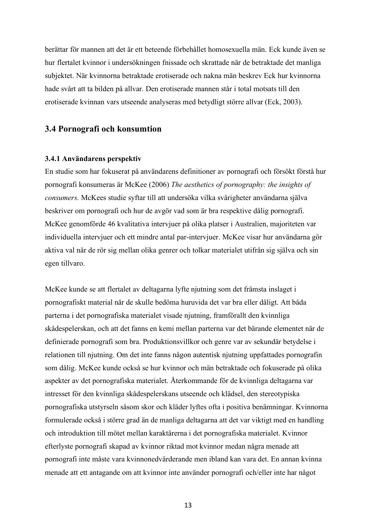berättar för mannen att det är ett beteende förbehållet homosexuella män. Eck kunde även se hur flertalet kvinnor i undersökningen fnissade och skrattade när de betraktade det manliga subjektet. När kvinnorna betraktade erotiserade och nakna män beskrev Eck hur kvinnorna hade svårt att ta bilden på allvar. Den erotiserade mannen står i total motsats till den erotiserade kvinnan vars utseende analyseras med betydligt större allvar (Eck, 2003).

#### **3.4 Pornografi och konsumtion**

#### **3.4.1 Användarens perspektiv**

En studie som har fokuserat på användarens definitioner av pornografi och försökt förstå hur pornografi konsumeras är McKee (2006) *The aesthetics of pornography: the insights of consumers.* McKees studie syftar till att undersöka vilka svårigheter användarna själva beskriver om pornografi och hur de avgör vad som är bra respektive dålig pornografi. McKee genomförde 46 kvalitativa intervjuer på olika platser i Australien, majoriteten var individuella intervjuer och ett mindre antal par-intervjuer. McKee visar hur användarna gör aktiva val när de rör sig mellan olika genrer och tolkar materialet utifrån sig själva och sin egen tillvaro.

McKee kunde se att flertalet av deltagarna lyfte njutning som det främsta inslaget i pornografiskt material när de skulle bedöma huruvida det var bra eller dåligt. Att båda parterna i det pornografiska materialet visade njutning, framförallt den kvinnliga skådespelerskan, och att det fanns en kemi mellan parterna var det bärande elementet när de definierade pornografi som bra. Produktionsvillkor och genre var av sekundär betydelse i relationen till njutning. Om det inte fanns någon autentisk njutning uppfattades pornografin som dålig. McKee kunde också se hur kvinnor och män betraktade och fokuserade på olika aspekter av det pornografiska materialet. Återkommande för de kvinnliga deltagarna var intresset för den kvinnliga skådespelerskans utseende och klädsel, den stereotypiska pornografiska utstyrseln såsom skor och kläder lyftes ofta i positiva benämningar. Kvinnorna formulerade också i större grad än de manliga deltagarna att det var viktigt med en handling och introduktion till mötet mellan karaktärerna i det pornografiska materialet. Kvinnor efterlyste pornografi skapad av kvinnor riktad mot kvinnor medan några menade att pornografi inte måste vara kvinnonedvärderande men ibland kan vara det. En annan kvinna menade att ett antagande om att kvinnor inte använder pornografi och/eller inte har något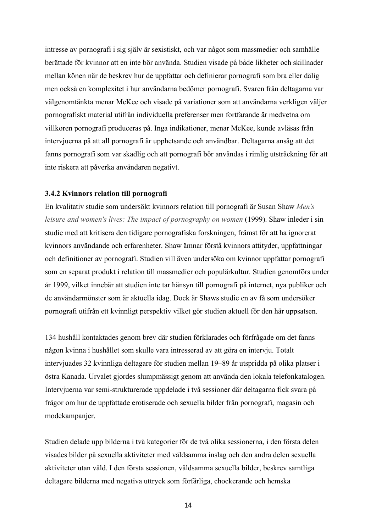intresse av pornografi i sig själv är sexistiskt, och var något som massmedier och samhälle berättade för kvinnor att en inte bör använda. Studien visade på både likheter och skillnader mellan könen när de beskrev hur de uppfattar och definierar pornografi som bra eller dålig men också en komplexitet i hur användarna bedömer pornografi. Svaren från deltagarna var välgenomtänkta menar McKee och visade på variationer som att användarna verkligen väljer pornografiskt material utifrån individuella preferenser men fortfarande är medvetna om villkoren pornografi produceras på. Inga indikationer, menar McKee, kunde avläsas från intervjuerna på att all pornografi är upphetsande och användbar. Deltagarna ansåg att det fanns pornografi som var skadlig och att pornografi bör användas i rimlig utsträckning för att inte riskera att påverka användaren negativt.

#### **3.4.2 Kvinnors relation till pornografi**

En kvalitativ studie som undersökt kvinnors relation till pornografi är Susan Shaw *Men's leisure and women's lives: The impact of pornography on women* (1999). Shaw inleder *i* sin studie med att kritisera den tidigare pornografiska forskningen, främst för att ha ignorerat kvinnors användande och erfarenheter. Shaw ämnar förstå kvinnors attityder, uppfattningar och definitioner av pornografi. Studien vill även undersöka om kvinnor uppfattar pornografi som en separat produkt i relation till massmedier och populärkultur. Studien genomförs under år 1999, vilket innebär att studien inte tar hänsyn till pornografi på internet, nya publiker och de användarmönster som är aktuella idag. Dock är Shaws studie en av få som undersöker pornografi utifrån ett kvinnligt perspektiv vilket gör studien aktuell för den här uppsatsen.

134 hushåll kontaktades genom brev där studien förklarades och förfrågade om det fanns någon kvinna i hushållet som skulle vara intresserad av att göra en intervju. Totalt intervjuades 32 kvinnliga deltagare för studien mellan 19–89 år utspridda på olika platser i östra Kanada. Urvalet gjordes slumpmässigt genom att använda den lokala telefonkatalogen. Intervjuerna var semi-strukturerade uppdelade i två sessioner där deltagarna fick svara på frågor om hur de uppfattade erotiserade och sexuella bilder från pornografi, magasin och modekampanjer.

Studien delade upp bilderna i två kategorier för de två olika sessionerna, i den första delen visades bilder på sexuella aktiviteter med våldsamma inslag och den andra delen sexuella aktiviteter utan våld. I den första sessionen, våldsamma sexuella bilder, beskrev samtliga deltagare bilderna med negativa uttryck som förfärliga, chockerande och hemska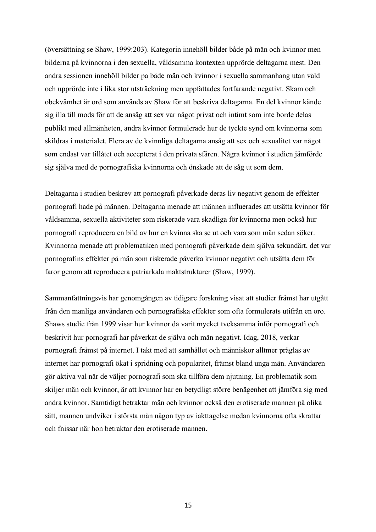(översättning se Shaw, 1999:203). Kategorin innehöll bilder både på män och kvinnor men bilderna på kvinnorna i den sexuella, våldsamma kontexten upprörde deltagarna mest. Den andra sessionen innehöll bilder på både män och kvinnor i sexuella sammanhang utan våld och upprörde inte i lika stor utsträckning men uppfattades fortfarande negativt. Skam och obekvämhet är ord som används av Shaw för att beskriva deltagarna. En del kvinnor kände sig illa till mods för att de ansåg att sex var något privat och intimt som inte borde delas publikt med allmänheten, andra kvinnor formulerade hur de tyckte synd om kvinnorna som skildras i materialet. Flera av de kvinnliga deltagarna ansåg att sex och sexualitet var något som endast var tillåtet och accepterat i den privata sfären. Några kvinnor i studien jämförde sig själva med de pornografiska kvinnorna och önskade att de såg ut som dem.

Deltagarna i studien beskrev att pornografi påverkade deras liv negativt genom de effekter pornografi hade på männen. Deltagarna menade att männen influerades att utsätta kvinnor för våldsamma, sexuella aktiviteter som riskerade vara skadliga för kvinnorna men också hur pornografi reproducera en bild av hur en kvinna ska se ut och vara som män sedan söker. Kvinnorna menade att problematiken med pornografi påverkade dem själva sekundärt, det var pornografins effekter på män som riskerade påverka kvinnor negativt och utsätta dem för faror genom att reproducera patriarkala maktstrukturer (Shaw, 1999).

Sammanfattningsvis har genomgången av tidigare forskning visat att studier främst har utgått från den manliga användaren och pornografiska effekter som ofta formulerats utifrån en oro. Shaws studie från 1999 visar hur kvinnor då varit mycket tveksamma inför pornografi och beskrivit hur pornografi har påverkat de själva och män negativt. Idag, 2018, verkar pornografi främst på internet. I takt med att samhället och människor alltmer präglas av internet har pornografi ökat i spridning och popularitet, främst bland unga män. Användaren gör aktiva val när de väljer pornografi som ska tillföra dem njutning. En problematik som skiljer män och kvinnor, är att kvinnor har en betydligt större benägenhet att jämföra sig med andra kvinnor. Samtidigt betraktar män och kvinnor också den erotiserade mannen på olika sätt, mannen undviker i största mån någon typ av iakttagelse medan kvinnorna ofta skrattar och fnissar när hon betraktar den erotiserade mannen.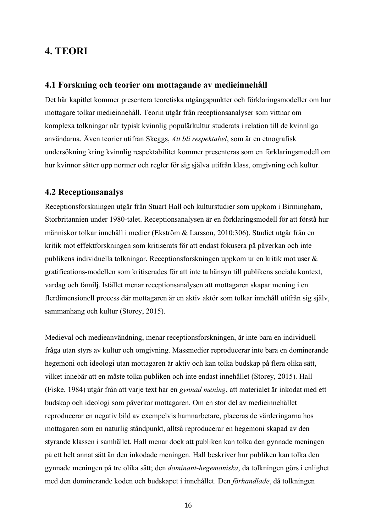## **4. TEORI**

#### **4.1 Forskning och teorier om mottagande av medieinnehåll**

Det här kapitlet kommer presentera teoretiska utgångspunkter och förklaringsmodeller om hur mottagare tolkar medieinnehåll. Teorin utgår från receptionsanalyser som vittnar om komplexa tolkningar när typisk kvinnlig populärkultur studerats i relation till de kvinnliga användarna. Även teorier utifrån Skeggs, *Att bli respektabel*, som är en etnografisk undersökning kring kvinnlig respektabilitet kommer presenteras som en förklaringsmodell om hur kvinnor sätter upp normer och regler för sig själva utifrån klass, omgivning och kultur.

#### **4.2 Receptionsanalys**

Receptionsforskningen utgår från Stuart Hall och kulturstudier som uppkom i Birmingham, Storbritannien under 1980-talet. Receptionsanalysen är en förklaringsmodell för att förstå hur människor tolkar innehåll i medier (Ekström & Larsson, 2010:306). Studiet utgår från en kritik mot effektforskningen som kritiserats för att endast fokusera på påverkan och inte publikens individuella tolkningar. Receptionsforskningen uppkom ur en kritik mot user & gratifications-modellen som kritiserades för att inte ta hänsyn till publikens sociala kontext, vardag och familj. Istället menar receptionsanalysen att mottagaren skapar mening i en flerdimensionell process där mottagaren är en aktiv aktör som tolkar innehåll utifrån sig själv, sammanhang och kultur (Storey, 2015).

Medieval och medieanvändning, menar receptionsforskningen, är inte bara en individuell fråga utan styrs av kultur och omgivning. Massmedier reproducerar inte bara en dominerande hegemoni och ideologi utan mottagaren är aktiv och kan tolka budskap på flera olika sätt, vilket innebär att en måste tolka publiken och inte endast innehållet (Storey, 2015). Hall (Fiske, 1984) utgår från att varje text har en *gynnad mening*, att materialet är inkodat med ett budskap och ideologi som påverkar mottagaren. Om en stor del av medieinnehållet reproducerar en negativ bild av exempelvis hamnarbetare, placeras de värderingarna hos mottagaren som en naturlig ståndpunkt, alltså reproducerar en hegemoni skapad av den styrande klassen i samhället. Hall menar dock att publiken kan tolka den gynnade meningen på ett helt annat sätt än den inkodade meningen. Hall beskriver hur publiken kan tolka den gynnade meningen på tre olika sätt; den *dominant-hegemoniska*, då tolkningen görs i enlighet med den dominerande koden och budskapet i innehållet. Den *förhandlade*, då tolkningen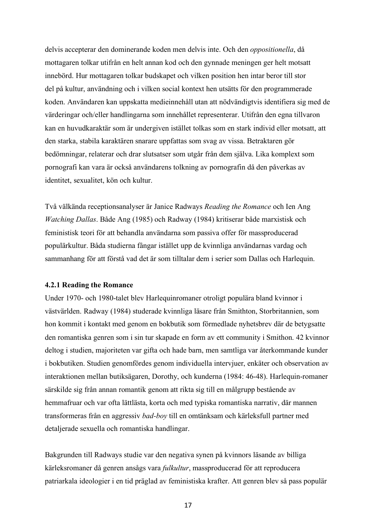delvis accepterar den dominerande koden men delvis inte. Och den *oppositionella*, då mottagaren tolkar utifrån en helt annan kod och den gynnade meningen ger helt motsatt innebörd. Hur mottagaren tolkar budskapet och vilken position hen intar beror till stor del på kultur, användning och i vilken social kontext hen utsätts för den programmerade koden. Användaren kan uppskatta medieinnehåll utan att nödvändigtvis identifiera sig med de värderingar och/eller handlingarna som innehållet representerar. Utifrån den egna tillvaron kan en huvudkaraktär som är undergiven istället tolkas som en stark individ eller motsatt, att den starka, stabila karaktären snarare uppfattas som svag av vissa. Betraktaren gör bedömningar, relaterar och drar slutsatser som utgår från dem själva. Lika komplext som pornografi kan vara är också användarens tolkning av pornografin då den påverkas av identitet, sexualitet, kön och kultur.

Två välkända receptionsanalyser är Janice Radways *Reading the Romance* och Ien Ang *Watching Dallas*. Både Ang (1985) och Radway (1984) kritiserar både marxistisk och feministisk teori för att behandla användarna som passiva offer för massproducerad populärkultur. Båda studierna fångar istället upp de kvinnliga användarnas vardag och sammanhang för att förstå vad det är som tilltalar dem i serier som Dallas och Harlequin.

#### **4.2.1 Reading the Romance**

Under 1970- och 1980-talet blev Harlequinromaner otroligt populära bland kvinnor i västvärlden. Radway (1984) studerade kvinnliga läsare från Smithton, Storbritannien, som hon kommit i kontakt med genom en bokbutik som förmedlade nyhetsbrev där de betygsatte den romantiska genren som i sin tur skapade en form av ett community i Smithon. 42 kvinnor deltog i studien, majoriteten var gifta och hade barn, men samtliga var återkommande kunder i bokbutiken. Studien genomfördes genom individuella intervjuer, enkäter och observation av interaktionen mellan butiksägaren, Dorothy, och kunderna (1984: 46-48). Harlequin-romaner särskilde sig från annan romantik genom att rikta sig till en målgrupp bestående av hemmafruar och var ofta lättlästa, korta och med typiska romantiska narrativ, där mannen transformeras från en aggressiv *bad-boy* till en omtänksam och kärleksfull partner med detaljerade sexuella och romantiska handlingar.

Bakgrunden till Radways studie var den negativa synen på kvinnors läsande av billiga kärleksromaner då genren ansågs vara *fulkultur*, massproducerad för att reproducera patriarkala ideologier i en tid präglad av feministiska krafter. Att genren blev så pass populär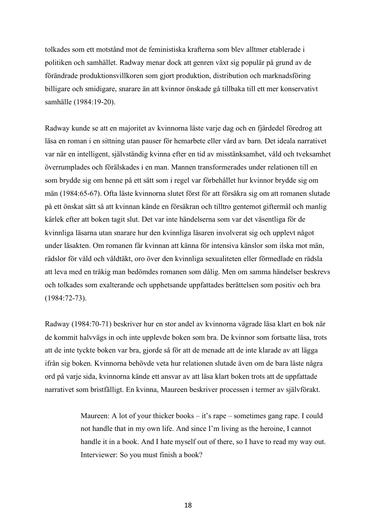tolkades som ett motstånd mot de feministiska krafterna som blev alltmer etablerade i politiken och samhället. Radway menar dock att genren växt sig populär på grund av de förändrade produktionsvillkoren som gjort produktion, distribution och marknadsföring billigare och smidigare, snarare än att kvinnor önskade gå tillbaka till ett mer konservativt samhälle (1984:19-20).

Radway kunde se att en majoritet av kvinnorna läste varje dag och en fjärdedel föredrog att läsa en roman i en sittning utan pauser för hemarbete eller vård av barn. Det ideala narrativet var när en intelligent, självständig kvinna efter en tid av misstänksamhet, våld och tveksamhet överrumplades och förälskades i en man. Mannen transformerades under relationen till en som brydde sig om henne på ett sätt som i regel var förbehållet hur kvinnor brydde sig om män (1984:65-67). Ofta läste kvinnorna slutet först för att försäkra sig om att romanen slutade på ett önskat sätt så att kvinnan kände en försäkran och tilltro gentemot giftermål och manlig kärlek efter att boken tagit slut. Det var inte händelserna som var det väsentliga för de kvinnliga läsarna utan snarare hur den kvinnliga läsaren involverat sig och upplevt något under läsakten. Om romanen får kvinnan att känna för intensiva känslor som ilska mot män, rädslor för våld och våldtäkt, oro över den kvinnliga sexualiteten eller förmedlade en rädsla att leva med en tråkig man bedömdes romanen som dålig. Men om samma händelser beskrevs och tolkades som exalterande och upphetsande uppfattades berättelsen som positiv och bra (1984:72-73).

Radway (1984:70-71) beskriver hur en stor andel av kvinnorna vägrade läsa klart en bok när de kommit halvvägs in och inte upplevde boken som bra. De kvinnor som fortsatte läsa, trots att de inte tyckte boken var bra, gjorde så för att de menade att de inte klarade av att lägga ifrån sig boken. Kvinnorna behövde veta hur relationen slutade även om de bara läste några ord på varje sida, kvinnorna kände ett ansvar av att läsa klart boken trots att de uppfattade narrativet som bristfälligt. En kvinna, Maureen beskriver processen i termer av självförakt.

> Maureen: A lot of your thicker books – it's rape – sometimes gang rape. I could not handle that in my own life. And since I'm living as the heroine, I cannot handle it in a book. And I hate myself out of there, so I have to read my way out. Interviewer: So you must finish a book?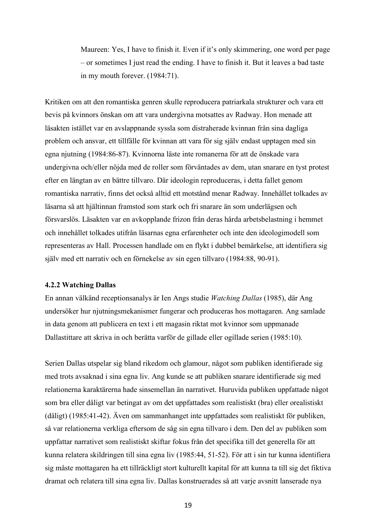Maureen: Yes, I have to finish it. Even if it's only skimmering, one word per page – or sometimes I just read the ending. I have to finish it. But it leaves a bad taste in my mouth forever. (1984:71).

Kritiken om att den romantiska genren skulle reproducera patriarkala strukturer och vara ett bevis på kvinnors önskan om att vara undergivna motsattes av Radway. Hon menade att läsakten istället var en avslappnande syssla som distraherade kvinnan från sina dagliga problem och ansvar, ett tillfälle för kvinnan att vara för sig själv endast upptagen med sin egna njutning (1984:86-87). Kvinnorna läste inte romanerna för att de önskade vara undergivna och/eller nöjda med de roller som förväntades av dem, utan snarare en tyst protest efter en längtan av en bättre tillvaro. Där ideologin reproduceras, i detta fallet genom romantiska narrativ, finns det också alltid ett motstånd menar Radway. Innehållet tolkades av läsarna så att hjältinnan framstod som stark och fri snarare än som underlägsen och försvarslös. Läsakten var en avkopplande frizon från deras hårda arbetsbelastning i hemmet och innehållet tolkades utifrån läsarnas egna erfarenheter och inte den ideologimodell som representeras av Hall. Processen handlade om en flykt i dubbel bemärkelse, att identifiera sig själv med ett narrativ och en förnekelse av sin egen tillvaro (1984:88, 90-91).

#### **4.2.2 Watching Dallas**

En annan välkänd receptionsanalys är Ien Angs studie *Watching Dallas* (1985), där Ang undersöker hur njutningsmekanismer fungerar och produceras hos mottagaren. Ang samlade in data genom att publicera en text i ett magasin riktat mot kvinnor som uppmanade Dallastittare att skriva in och berätta varför de gillade eller ogillade serien (1985:10).

Serien Dallas utspelar sig bland rikedom och glamour, något som publiken identifierade sig med trots avsaknad i sina egna liv. Ang kunde se att publiken snarare identifierade sig med relationerna karaktärerna hade sinsemellan än narrativet. Huruvida publiken uppfattade något som bra eller dåligt var betingat av om det uppfattades som realistiskt (bra) eller orealistiskt (dåligt) (1985:41-42). Även om sammanhanget inte uppfattades som realistiskt för publiken, så var relationerna verkliga eftersom de såg sin egna tillvaro i dem. Den del av publiken som uppfattar narrativet som realistiskt skiftar fokus från det specifika till det generella för att kunna relatera skildringen till sina egna liv (1985:44, 51-52). För att i sin tur kunna identifiera sig måste mottagaren ha ett tillräckligt stort kulturellt kapital för att kunna ta till sig det fiktiva dramat och relatera till sina egna liv. Dallas konstruerades så att varje avsnitt lanserade nya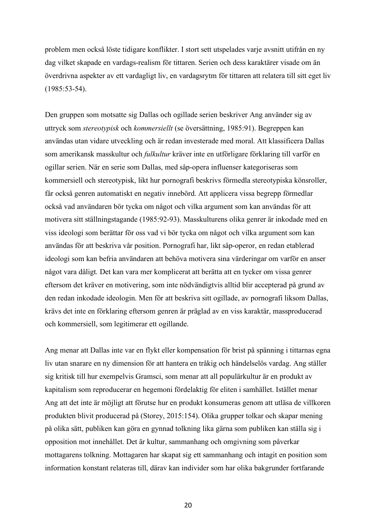problem men också löste tidigare konflikter. I stort sett utspelades varje avsnitt utifrån en ny dag vilket skapade en vardags-realism för tittaren. Serien och dess karaktärer visade om än överdrivna aspekter av ett vardagligt liv, en vardagsrytm för tittaren att relatera till sitt eget liv (1985:53-54).

Den gruppen som motsatte sig Dallas och ogillade serien beskriver Ang använder sig av uttryck som *stereotypisk* och *kommersiellt* (se översättning, 1985:91). Begreppen kan användas utan vidare utveckling och är redan investerade med moral. Att klassificera Dallas som amerikansk masskultur och *fulkultur* kräver inte en utförligare förklaring till varför en ogillar serien. När en serie som Dallas, med såp-opera influenser kategoriseras som kommersiell och stereotypisk, likt hur pornografi beskrivs förmedla stereotypiska könsroller, får också genren automatiskt en negativ innebörd. Att applicera vissa begrepp förmedlar också vad användaren bör tycka om något och vilka argument som kan användas för att motivera sitt ställningstagande (1985:92-93). Masskulturens olika genrer är inkodade med en viss ideologi som berättar för oss vad vi bör tycka om något och vilka argument som kan användas för att beskriva vår position. Pornografi har, likt såp-operor, en redan etablerad ideologi som kan befria användaren att behöva motivera sina värderingar om varför en anser något vara dåligt. Det kan vara mer komplicerat att berätta att en tycker om vissa genrer eftersom det kräver en motivering, som inte nödvändigtvis alltid blir accepterad på grund av den redan inkodade ideologin. Men för att beskriva sitt ogillade, av pornografi liksom Dallas, krävs det inte en förklaring eftersom genren är präglad av en viss karaktär, massproducerad och kommersiell, som legitimerar ett ogillande.

Ang menar att Dallas inte var en flykt eller kompensation för brist på spänning i tittarnas egna liv utan snarare en ny dimension för att hantera en tråkig och händelselös vardag. Ang ställer sig kritisk till hur exempelvis Gramsci, som menar att all populärkultur är en produkt av kapitalism som reproducerar en hegemoni fördelaktig för eliten i samhället. Istället menar Ang att det inte är möjligt att förutse hur en produkt konsumeras genom att utläsa de villkoren produkten blivit producerad på (Storey, 2015:154). Olika grupper tolkar och skapar mening på olika sätt, publiken kan göra en gynnad tolkning lika gärna som publiken kan ställa sig i opposition mot innehållet. Det är kultur, sammanhang och omgivning som påverkar mottagarens tolkning. Mottagaren har skapat sig ett sammanhang och intagit en position som information konstant relateras till, därav kan individer som har olika bakgrunder fortfarande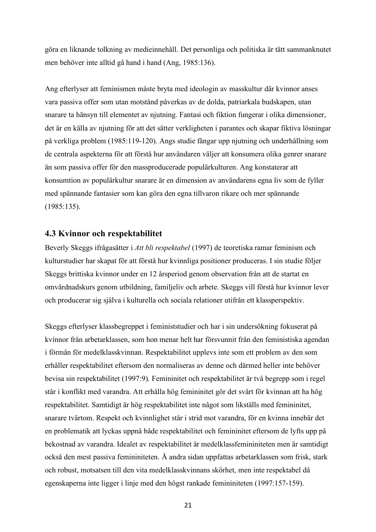göra en liknande tolkning av medieinnehåll. Det personliga och politiska är tätt sammanknutet men behöver inte alltid gå hand i hand (Ang, 1985:136).

Ang efterlyser att feminismen måste bryta med ideologin av masskultur där kvinnor anses vara passiva offer som utan motstånd påverkas av de dolda, patriarkala budskapen, utan snarare ta hänsyn till elementet av njutning. Fantasi och fiktion fungerar i olika dimensioner, det är en källa av njutning för att det sätter verkligheten i parantes och skapar fiktiva lösningar på verkliga problem (1985:119-120). Angs studie fångar upp njutning och underhållning som de centrala aspekterna för att förstå hur användaren väljer att konsumera olika genrer snarare än som passiva offer för den massproducerade populärkulturen. Ang konstaterar att konsumtion av populärkultur snarare är en dimension av användarens egna liv som de fyller med spännande fantasier som kan göra den egna tillvaron rikare och mer spännande (1985:135).

#### **4.3 Kvinnor och respektabilitet**

Beverly Skeggs ifrågasätter i *Att bli respektabel* (1997) de teoretiska ramar feminism och kulturstudier har skapat för att förstå hur kvinnliga positioner produceras. I sin studie följer Skeggs brittiska kvinnor under en 12 årsperiod genom observation från att de startat en omvårdnadskurs genom utbildning, familjeliv och arbete. Skeggs vill förstå hur kvinnor lever och producerar sig själva i kulturella och sociala relationer utifrån ett klassperspektiv.

Skeggs efterlyser klassbegreppet i feministstudier och har i sin undersökning fokuserat på kvinnor från arbetarklassen, som hon menar helt har försvunnit från den feministiska agendan i förmån för medelklasskvinnan. Respektabilitet upplevs inte som ett problem av den som erhåller respektabilitet eftersom den normaliseras av denne och därmed heller inte behöver bevisa sin respektabilitet (1997:9). Femininitet och respektabilitet är två begrepp som i regel står i konflikt med varandra. Att erhålla hög femininitet gör det svårt för kvinnan att ha hög respektabilitet. Samtidigt är hög respektabilitet inte något som likställs med femininitet, snarare tvärtom. Respekt och kvinnlighet står i strid mot varandra, för en kvinna innebär det en problematik att lyckas uppnå både respektabilitet och femininitet eftersom de lyfts upp på bekostnad av varandra. Idealet av respektabilitet är medelklassfemininiteten men är samtidigt också den mest passiva femininiteten. Å andra sidan uppfattas arbetarklassen som frisk, stark och robust, motsatsen till den vita medelklasskvinnans skörhet, men inte respektabel då egenskaperna inte ligger i linje med den högst rankade femininiteten (1997:157-159).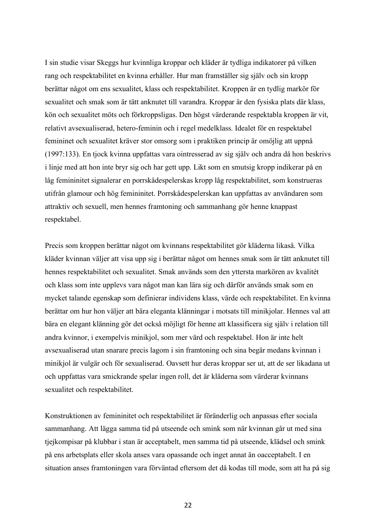I sin studie visar Skeggs hur kvinnliga kroppar och kläder är tydliga indikatorer på vilken rang och respektabilitet en kvinna erhåller. Hur man framställer sig själv och sin kropp berättar något om ens sexualitet, klass och respektabilitet. Kroppen är en tydlig markör för sexualitet och smak som är tätt anknutet till varandra. Kroppar är den fysiska plats där klass, kön och sexualitet möts och förkroppsligas. Den högst värderande respektabla kroppen är vit, relativt avsexualiserad, hetero-feminin och i regel medelklass. Idealet för en respektabel femininet och sexualitet kräver stor omsorg som i praktiken princip är omöjlig att uppnå (1997:133). En tjock kvinna uppfattas vara ointresserad av sig själv och andra då hon beskrivs i linje med att hon inte bryr sig och har gett upp. Likt som en smutsig kropp indikerar på en låg femininitet signalerar en porrskådespelerskas kropp låg respektabilitet, som konstrueras utifrån glamour och hög femininitet. Porrskådespelerskan kan uppfattas av användaren som attraktiv och sexuell, men hennes framtoning och sammanhang gör henne knappast respektabel.

Precis som kroppen berättar något om kvinnans respektabilitet gör kläderna likaså. Vilka kläder kvinnan väljer att visa upp sig i berättar något om hennes smak som är tätt anknutet till hennes respektabilitet och sexualitet. Smak används som den yttersta markören av kvalitét och klass som inte upplevs vara något man kan lära sig och därför används smak som en mycket talande egenskap som definierar individens klass, värde och respektabilitet. En kvinna berättar om hur hon väljer att bära eleganta klänningar i motsats till minikjolar. Hennes val att bära en elegant klänning gör det också möjligt för henne att klassificera sig själv i relation till andra kvinnor, i exempelvis minikjol, som mer värd och respektabel. Hon är inte helt avsexualiserad utan snarare precis lagom i sin framtoning och sina begär medans kvinnan i minikjol är vulgär och för sexualiserad. Oavsett hur deras kroppar ser ut, att de ser likadana ut och uppfattas vara smickrande spelar ingen roll, det är kläderna som värderar kvinnans sexualitet och respektabilitet.

Konstruktionen av femininitet och respektabilitet är föränderlig och anpassas efter sociala sammanhang. Att lägga samma tid på utseende och smink som när kvinnan går ut med sina tjejkompisar på klubbar i stan är acceptabelt, men samma tid på utseende, klädsel och smink på ens arbetsplats eller skola anses vara opassande och inget annat än oacceptabelt. I en situation anses framtoningen vara förväntad eftersom det då kodas till mode, som att ha på sig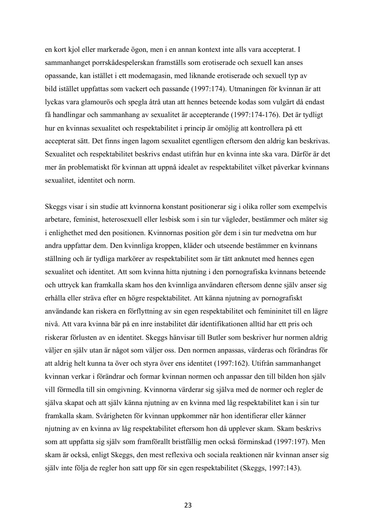en kort kjol eller markerade ögon, men i en annan kontext inte alls vara accepterat. I sammanhanget porrskådespelerskan framställs som erotiserade och sexuell kan anses opassande, kan istället i ett modemagasin, med liknande erotiserade och sexuell typ av bild istället uppfattas som vackert och passande (1997:174). Utmaningen för kvinnan är att lyckas vara glamourös och spegla åtrå utan att hennes beteende kodas som vulgärt då endast få handlingar och sammanhang av sexualitet är accepterande (1997:174-176). Det är tydligt hur en kvinnas sexualitet och respektabilitet i princip är omöjlig att kontrollera på ett accepterat sätt. Det finns ingen lagom sexualitet egentligen eftersom den aldrig kan beskrivas. Sexualitet och respektabilitet beskrivs endast utifrån hur en kvinna inte ska vara. Därför är det mer än problematiskt för kvinnan att uppnå idealet av respektabilitet vilket påverkar kvinnans sexualitet, identitet och norm.

Skeggs visar i sin studie att kvinnorna konstant positionerar sig i olika roller som exempelvis arbetare, feminist, heterosexuell eller lesbisk som i sin tur vägleder, bestämmer och mäter sig i enlighethet med den positionen. Kvinnornas position gör dem i sin tur medvetna om hur andra uppfattar dem. Den kvinnliga kroppen, kläder och utseende bestämmer en kvinnans ställning och är tydliga markörer av respektabilitet som är tätt anknutet med hennes egen sexualitet och identitet. Att som kvinna hitta njutning i den pornografiska kvinnans beteende och uttryck kan framkalla skam hos den kvinnliga användaren eftersom denne själv anser sig erhålla eller sträva efter en högre respektabilitet. Att känna njutning av pornografiskt användande kan riskera en förflyttning av sin egen respektabilitet och femininitet till en lägre nivå. Att vara kvinna bär på en inre instabilitet där identifikationen alltid har ett pris och riskerar förlusten av en identitet. Skeggs hänvisar till Butler som beskriver hur normen aldrig väljer en själv utan är något som väljer oss. Den normen anpassas, värderas och förändras för att aldrig helt kunna ta över och styra över ens identitet (1997:162). Utifrån sammanhanget kvinnan verkar i förändrar och formar kvinnan normen och anpassar den till bilden hon själv vill förmedla till sin omgivning. Kvinnorna värderar sig själva med de normer och regler de själva skapat och att själv känna njutning av en kvinna med låg respektabilitet kan i sin tur framkalla skam. Svårigheten för kvinnan uppkommer när hon identifierar eller känner njutning av en kvinna av låg respektabilitet eftersom hon då upplever skam. Skam beskrivs som att uppfatta sig själv som framförallt bristfällig men också förminskad (1997:197). Men skam är också, enligt Skeggs, den mest reflexiva och sociala reaktionen när kvinnan anser sig själv inte följa de regler hon satt upp för sin egen respektabilitet (Skeggs, 1997:143).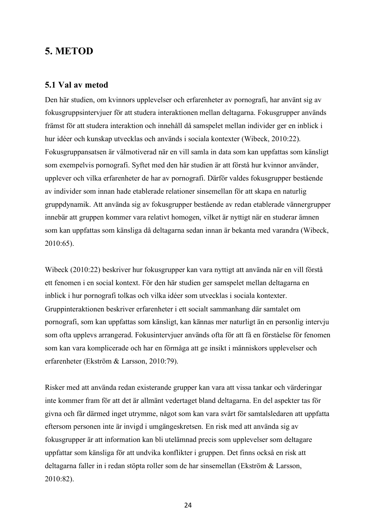## **5. METOD**

#### **5.1 Val av metod**

Den här studien, om kvinnors upplevelser och erfarenheter av pornografi, har använt sig av fokusgruppsintervjuer för att studera interaktionen mellan deltagarna. Fokusgrupper används främst för att studera interaktion och innehåll då samspelet mellan individer ger en inblick i hur idéer och kunskap utvecklas och används i sociala kontexter (Wibeck, 2010:22). Fokusgruppansatsen är välmotiverad när en vill samla in data som kan uppfattas som känsligt som exempelvis pornografi. Syftet med den här studien är att förstå hur kvinnor använder, upplever och vilka erfarenheter de har av pornografi. Därför valdes fokusgrupper bestående av individer som innan hade etablerade relationer sinsemellan för att skapa en naturlig gruppdynamik. Att använda sig av fokusgrupper bestående av redan etablerade vännergrupper innebär att gruppen kommer vara relativt homogen, vilket är nyttigt när en studerar ämnen som kan uppfattas som känsliga då deltagarna sedan innan är bekanta med varandra (Wibeck, 2010:65).

Wibeck (2010:22) beskriver hur fokusgrupper kan vara nyttigt att använda när en vill förstå ett fenomen i en social kontext. För den här studien ger samspelet mellan deltagarna en inblick i hur pornografi tolkas och vilka idéer som utvecklas i sociala kontexter. Gruppinteraktionen beskriver erfarenheter i ett socialt sammanhang där samtalet om pornografi, som kan uppfattas som känsligt, kan kännas mer naturligt än en personlig intervju som ofta upplevs arrangerad. Fokusintervjuer används ofta för att få en förståelse för fenomen som kan vara komplicerade och har en förmåga att ge insikt i människors upplevelser och erfarenheter (Ekström & Larsson, 2010:79).

Risker med att använda redan existerande grupper kan vara att vissa tankar och värderingar inte kommer fram för att det är allmänt vedertaget bland deltagarna. En del aspekter tas för givna och får därmed inget utrymme, något som kan vara svårt för samtalsledaren att uppfatta eftersom personen inte är invigd i umgängeskretsen. En risk med att använda sig av fokusgrupper är att information kan bli utelämnad precis som upplevelser som deltagare uppfattar som känsliga för att undvika konflikter i gruppen. Det finns också en risk att deltagarna faller in i redan stöpta roller som de har sinsemellan (Ekström & Larsson, 2010:82).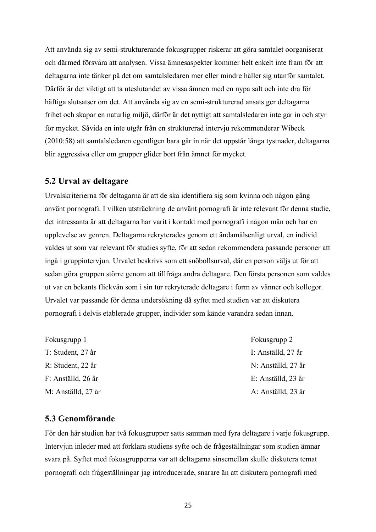Att använda sig av semi-strukturerande fokusgrupper riskerar att göra samtalet oorganiserat och därmed försvåra att analysen. Vissa ämnesaspekter kommer helt enkelt inte fram för att deltagarna inte tänker på det om samtalsledaren mer eller mindre håller sig utanför samtalet. Därför är det viktigt att ta uteslutandet av vissa ämnen med en nypa salt och inte dra för häftiga slutsatser om det. Att använda sig av en semi-strukturerad ansats ger deltagarna frihet och skapar en naturlig miljö, därför är det nyttigt att samtalsledaren inte går in och styr för mycket. Såvida en inte utgår från en strukturerad intervju rekommenderar Wibeck (2010:58) att samtalsledaren egentligen bara går in när det uppstår långa tystnader, deltagarna blir aggressiva eller om grupper glider bort från ämnet för mycket.

#### **5.2 Urval av deltagare**

Urvalskriterierna för deltagarna är att de ska identifiera sig som kvinna och någon gång använt pornografi. I vilken utsträckning de använt pornografi är inte relevant för denna studie, det intressanta är att deltagarna har varit i kontakt med pornografi i någon mån och har en upplevelse av genren. Deltagarna rekryterades genom ett ändamålsenligt urval, en individ valdes ut som var relevant för studies syfte, för att sedan rekommendera passande personer att ingå i gruppintervjun. Urvalet beskrivs som ett snöbollsurval, där en person väljs ut för att sedan göra gruppen större genom att tillfråga andra deltagare. Den första personen som valdes ut var en bekants flickvän som i sin tur rekryterade deltagare i form av vänner och kollegor. Urvalet var passande för denna undersökning då syftet med studien var att diskutera pornografi i delvis etablerade grupper, individer som kände varandra sedan innan.

| Fokusgrupp 1         | Fokusgrupp 2       |
|----------------------|--------------------|
| T: Student, 27 år    | I: Anställd, 27 år |
| R: Student, 22 år    | N: Anställd, 27 år |
| $F:$ Anställd, 26 år | E: Anställd, 23 år |
| M: Anställd, 27 år   | A: Anställd, 23 år |

#### **5.3 Genomförande**

För den här studien har två fokusgrupper satts samman med fyra deltagare i varje fokusgrupp. Intervjun inleder med att förklara studiens syfte och de frågeställningar som studien ämnar svara på. Syftet med fokusgrupperna var att deltagarna sinsemellan skulle diskutera temat pornografi och frågeställningar jag introducerade, snarare än att diskutera pornografi med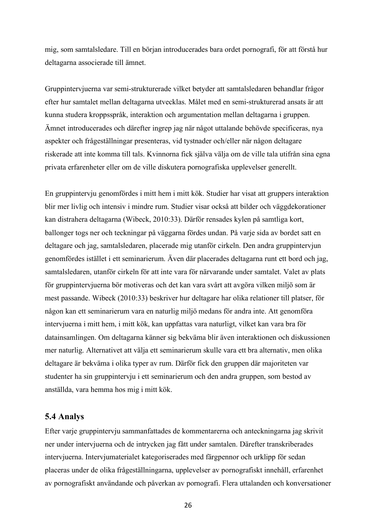mig, som samtalsledare. Till en början introducerades bara ordet pornografi, för att förstå hur deltagarna associerade till ämnet.

Gruppintervjuerna var semi-strukturerade vilket betyder att samtalsledaren behandlar frågor efter hur samtalet mellan deltagarna utvecklas. Målet med en semi-strukturerad ansats är att kunna studera kroppsspråk, interaktion och argumentation mellan deltagarna i gruppen. Ämnet introducerades och därefter ingrep jag när något uttalande behövde specificeras, nya aspekter och frågeställningar presenteras, vid tystnader och/eller när någon deltagare riskerade att inte komma till tals. Kvinnorna fick själva välja om de ville tala utifrån sina egna privata erfarenheter eller om de ville diskutera pornografiska upplevelser generellt.

En gruppintervju genomfördes i mitt hem i mitt kök. Studier har visat att gruppers interaktion blir mer livlig och intensiv i mindre rum. Studier visar också att bilder och väggdekorationer kan distrahera deltagarna (Wibeck, 2010:33). Därför rensades kylen på samtliga kort, ballonger togs ner och teckningar på väggarna fördes undan. På varje sida av bordet satt en deltagare och jag, samtalsledaren, placerade mig utanför cirkeln. Den andra gruppintervjun genomfördes istället i ett seminarierum. Även där placerades deltagarna runt ett bord och jag, samtalsledaren, utanför cirkeln för att inte vara för närvarande under samtalet. Valet av plats för gruppintervjuerna bör motiveras och det kan vara svårt att avgöra vilken miljö som är mest passande. Wibeck (2010:33) beskriver hur deltagare har olika relationer till platser, för någon kan ett seminarierum vara en naturlig miljö medans för andra inte. Att genomföra intervjuerna i mitt hem, i mitt kök, kan uppfattas vara naturligt, vilket kan vara bra för datainsamlingen. Om deltagarna känner sig bekväma blir även interaktionen och diskussionen mer naturlig. Alternativet att välja ett seminarierum skulle vara ett bra alternativ, men olika deltagare är bekväma i olika typer av rum. Därför fick den gruppen där majoriteten var studenter ha sin gruppintervju i ett seminarierum och den andra gruppen, som bestod av anställda, vara hemma hos mig i mitt kök.

#### **5.4 Analys**

Efter varje gruppintervju sammanfattades de kommentarerna och anteckningarna jag skrivit ner under intervjuerna och de intrycken jag fått under samtalen. Därefter transkriberades intervjuerna. Intervjumaterialet kategoriserades med färgpennor och urklipp för sedan placeras under de olika frågeställningarna, upplevelser av pornografiskt innehåll, erfarenhet av pornografiskt användande och påverkan av pornografi. Flera uttalanden och konversationer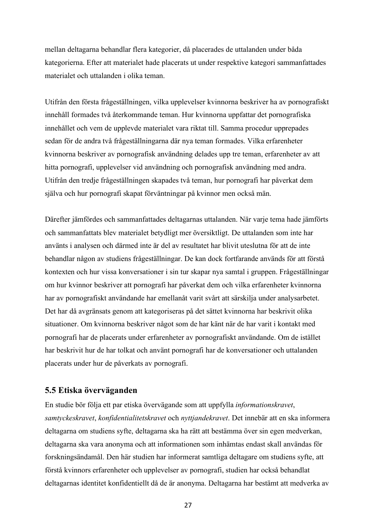mellan deltagarna behandlar flera kategorier, då placerades de uttalanden under båda kategorierna. Efter att materialet hade placerats ut under respektive kategori sammanfattades materialet och uttalanden i olika teman.

Utifrån den första frågeställningen, vilka upplevelser kvinnorna beskriver ha av pornografiskt innehåll formades två återkommande teman. Hur kvinnorna uppfattar det pornografiska innehållet och vem de upplevde materialet vara riktat till. Samma procedur upprepades sedan för de andra två frågeställningarna där nya teman formades. Vilka erfarenheter kvinnorna beskriver av pornografisk användning delades upp tre teman, erfarenheter av att hitta pornografi, upplevelser vid användning och pornografisk användning med andra. Utifrån den tredje frågeställningen skapades två teman, hur pornografi har påverkat dem själva och hur pornografi skapat förväntningar på kvinnor men också män.

Därefter jämfördes och sammanfattades deltagarnas uttalanden. När varje tema hade jämförts och sammanfattats blev materialet betydligt mer översiktligt. De uttalanden som inte har använts i analysen och därmed inte är del av resultatet har blivit uteslutna för att de inte behandlar någon av studiens frågeställningar. De kan dock fortfarande används för att förstå kontexten och hur vissa konversationer i sin tur skapar nya samtal i gruppen. Frågeställningar om hur kvinnor beskriver att pornografi har påverkat dem och vilka erfarenheter kvinnorna har av pornografiskt användande har emellanåt varit svårt att särskilja under analysarbetet. Det har då avgränsats genom att kategoriseras på det sättet kvinnorna har beskrivit olika situationer. Om kvinnorna beskriver något som de har känt när de har varit i kontakt med pornografi har de placerats under erfarenheter av pornografiskt användande. Om de istället har beskrivit hur de har tolkat och använt pornografi har de konversationer och uttalanden placerats under hur de påverkats av pornografi.

#### **5.5 Etiska överväganden**

En studie bör följa ett par etiska övervägande som att uppfylla *informationskravet*, *samtyckeskravet*, *konfidentialitetskravet* och *nyttjandekravet*. Det innebär att en ska informera deltagarna om studiens syfte, deltagarna ska ha rätt att bestämma över sin egen medverkan, deltagarna ska vara anonyma och att informationen som inhämtas endast skall användas för forskningsändamål. Den här studien har informerat samtliga deltagare om studiens syfte, att förstå kvinnors erfarenheter och upplevelser av pornografi, studien har också behandlat deltagarnas identitet konfidentiellt då de är anonyma. Deltagarna har bestämt att medverka av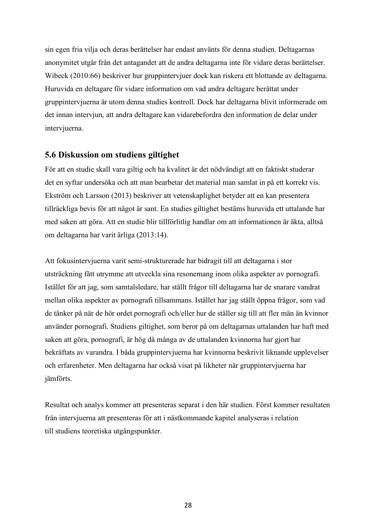sin egen fria vilja och deras berättelser har endast använts för denna studien. Deltagarnas anonymitet utgår från det antagandet att de andra deltagarna inte för vidare deras berättelser. Wibeck (2010:66) beskriver hur gruppintervjuer dock kan riskera ett blottande av deltagarna. Huruvida en deltagare för vidare information om vad andra deltagare berättat under gruppintervjuerna är utom denna studies kontroll. Dock har deltagarna blivit informerade om det innan intervjun, att andra deltagare kan vidarebefordra den information de delar under intervjuerna.

#### **5.6 Diskussion om studiens giltighet**

För att en studie skall vara giltig och ha kvalitet är det nödvändigt att en faktiskt studerar det en syftar undersöka och att man bearbetar det material man samlat in på ett korrekt vis. Ekström och Larsson (2013) beskriver att vetenskaplighet betyder att en kan presentera tillräckliga bevis för att något är sant. En studies giltighet bestäms huruvida ett uttalande har med saken att göra. Att en studie blir tillförlitlig handlar om att informationen är äkta, alltså om deltagarna har varit ärliga (2013:14).

Att fokusintervjuerna varit semi-strukturerade har bidragit till att deltagarna i stor utsträckning fått utrymme att utveckla sina resonemang inom olika aspekter av pornografi. Istället för att jag, som samtalsledare, har ställt frågor till deltagarna har de snarare vandrat mellan olika aspekter av pornografi tillsammans. Istället har jag ställt öppna frågor, som vad de tänker på när de hör ordet pornografi och/eller hur de ställer sig till att fler män än kvinnor använder pornografi. Studiens giltighet, som beror på om deltagarnas uttalanden har haft med saken att göra, pornografi, är hög då många av de uttalanden kvinnorna har gjort har bekräftats av varandra. I båda gruppintervjuerna har kvinnorna beskrivit liknande upplevelser och erfarenheter. Men deltagarna har också visat på likheter när gruppintervjuerna har jämförts.

Resultat och analys kommer att presenteras separat i den här studien. Först kommer resultaten från intervjuerna att presenteras för att i nästkommande kapitel analyseras i relation till studiens teoretiska utgångspunkter.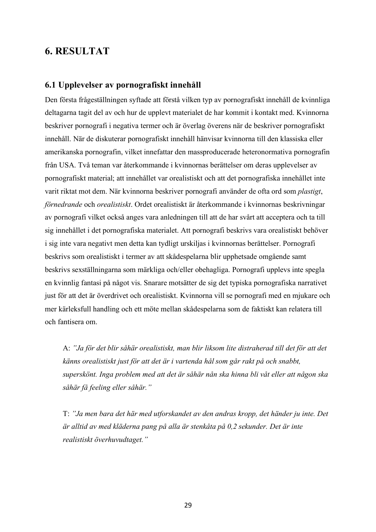# **6. RESULTAT**

#### **6.1 Upplevelser av pornografiskt innehåll**

Den första frågeställningen syftade att förstå vilken typ av pornografiskt innehåll de kvinnliga deltagarna tagit del av och hur de upplevt materialet de har kommit i kontakt med. Kvinnorna beskriver pornografi i negativa termer och är överlag överens när de beskriver pornografiskt innehåll. När de diskuterar pornografiskt innehåll hänvisar kvinnorna till den klassiska eller amerikanska pornografin, vilket innefattar den massproducerade heteronormativa pornografin från USA. Två teman var återkommande i kvinnornas berättelser om deras upplevelser av pornografiskt material; att innehållet var orealistiskt och att det pornografiska innehållet inte varit riktat mot dem. När kvinnorna beskriver pornografi använder de ofta ord som *plastigt*, *förnedrande* och *orealistiskt*. Ordet orealistiskt är återkommande i kvinnornas beskrivningar av pornografi vilket också anges vara anledningen till att de har svårt att acceptera och ta till sig innehållet i det pornografiska materialet. Att pornografi beskrivs vara orealistiskt behöver i sig inte vara negativt men detta kan tydligt urskiljas i kvinnornas berättelser. Pornografi beskrivs som orealistiskt i termer av att skådespelarna blir upphetsade omgående samt beskrivs sexställningarna som märkliga och/eller obehagliga. Pornografi upplevs inte spegla en kvinnlig fantasi på något vis. Snarare motsätter de sig det typiska pornografiska narrativet just för att det är överdrivet och orealistiskt. Kvinnorna vill se pornografi med en mjukare och mer kärleksfull handling och ett möte mellan skådespelarna som de faktiskt kan relatera till och fantisera om.

A: *"Ja för det blir såhär orealistiskt, man blir liksom lite distraherad till det för att det känns orealistiskt just för att det är i vartenda hål som går rakt på och snabbt, superskönt. Inga problem med att det är såhär nån ska hinna bli våt eller att någon ska såhär få feeling eller såhär."*

T: *"Ja men bara det här med utforskandet av den andras kropp, det händer ju inte. Det är alltid av med kläderna pang på alla är stenkåta på 0,2 sekunder. Det är inte realistiskt överhuvudtaget."*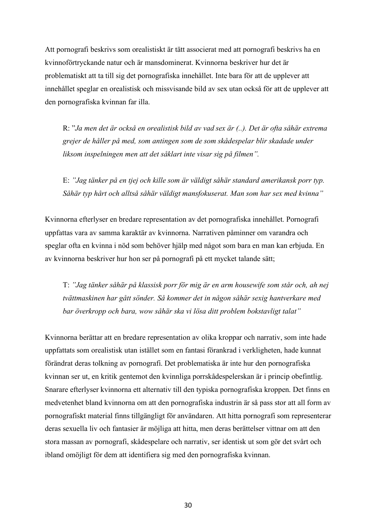Att pornografi beskrivs som orealistiskt är tätt associerat med att pornografi beskrivs ha en kvinnoförtryckande natur och är mansdominerat. Kvinnorna beskriver hur det är problematiskt att ta till sig det pornografiska innehållet. Inte bara för att de upplever att innehållet speglar en orealistisk och missvisande bild av sex utan också för att de upplever att den pornografiska kvinnan far illa.

R: "*Ja men det är också en orealistisk bild av vad sex är (..). Det är ofta såhär extrema grejer de håller på med, som antingen som de som skådespelar blir skadade under liksom inspelningen men att det såklart inte visar sig på filmen".*

E: *"Jag tänker på en tjej och kille som är väldigt såhär standard amerikansk porr typ. Såhär typ hårt och alltså såhär väldigt mansfokuserat. Man som har sex med kvinna"*

Kvinnorna efterlyser en bredare representation av det pornografiska innehållet. Pornografi uppfattas vara av samma karaktär av kvinnorna. Narrativen påminner om varandra och speglar ofta en kvinna i nöd som behöver hjälp med något som bara en man kan erbjuda. En av kvinnorna beskriver hur hon ser på pornografi på ett mycket talande sätt;

T: *"Jag tänker såhär på klassisk porr för mig är en arm housewife som står och, ah nej tvättmaskinen har gått sönder. Så kommer det in någon såhär sexig hantverkare med bar överkropp och bara, wow såhär ska vi lösa ditt problem bokstavligt talat"*

Kvinnorna berättar att en bredare representation av olika kroppar och narrativ, som inte hade uppfattats som orealistisk utan istället som en fantasi förankrad i verkligheten, hade kunnat förändrat deras tolkning av pornografi. Det problematiska är inte hur den pornografiska kvinnan ser ut, en kritik gentemot den kvinnliga porrskådespelerskan är i princip obefintlig. Snarare efterlyser kvinnorna ett alternativ till den typiska pornografiska kroppen. Det finns en medvetenhet bland kvinnorna om att den pornografiska industrin är så pass stor att all form av pornografiskt material finns tillgängligt för användaren. Att hitta pornografi som representerar deras sexuella liv och fantasier är möjliga att hitta, men deras berättelser vittnar om att den stora massan av pornografi, skådespelare och narrativ, ser identisk ut som gör det svårt och ibland omöjligt för dem att identifiera sig med den pornografiska kvinnan.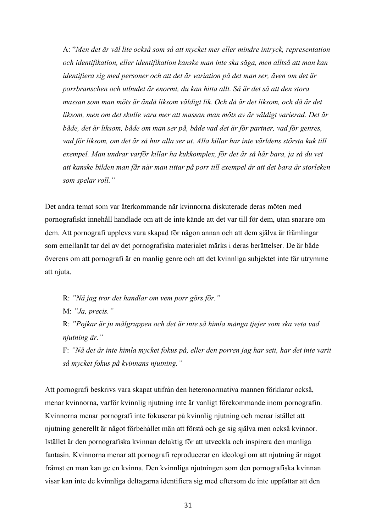A: "*Men det är väl lite också som så att mycket mer eller mindre intryck, representation och identifikation, eller identifikation kanske man inte ska säga, men alltså att man kan identifiera sig med personer och att det är variation på det man ser, även om det är porrbranschen och utbudet är enormt, du kan hitta allt. Så är det så att den stora massan som man möts är ändå liksom väldigt lik. Och då är det liksom, och då är det liksom, men om det skulle vara mer att massan man möts av är väldigt varierad. Det är både, det är liksom, både om man ser på, både vad det är för partner, vad för genres, vad för liksom, om det är så hur alla ser ut. Alla killar har inte världens största kuk till exempel. Man undrar varför killar ha kukkomplex, för det är så här bara, ja så du vet att kanske bilden man får när man tittar på porr till exempel är att det bara är storleken som spelar roll."*

Det andra temat som var återkommande när kvinnorna diskuterade deras möten med pornografiskt innehåll handlade om att de inte kände att det var till för dem, utan snarare om dem. Att pornografi upplevs vara skapad för någon annan och att dem själva är främlingar som emellanåt tar del av det pornografiska materialet märks i deras berättelser. De är både överens om att pornografi är en manlig genre och att det kvinnliga subjektet inte får utrymme att njuta.

R: *"Nä jag tror det handlar om vem porr görs för."*

M: *"Ja, precis."*

R: *"Pojkar är ju målgruppen och det är inte så himla många tjejer som ska veta vad njutning är."*

F: *"Nä det är inte himla mycket fokus på, eller den porren jag har sett, har det inte varit så mycket fokus på kvinnans njutning."*

Att pornografi beskrivs vara skapat utifrån den heteronormativa mannen förklarar också, menar kvinnorna, varför kvinnlig njutning inte är vanligt förekommande inom pornografin. Kvinnorna menar pornografi inte fokuserar på kvinnlig njutning och menar istället att njutning generellt är något förbehållet män att förstå och ge sig själva men också kvinnor. Istället är den pornografiska kvinnan delaktig för att utveckla och inspirera den manliga fantasin. Kvinnorna menar att pornografi reproducerar en ideologi om att njutning är något främst en man kan ge en kvinna. Den kvinnliga njutningen som den pornografiska kvinnan visar kan inte de kvinnliga deltagarna identifiera sig med eftersom de inte uppfattar att den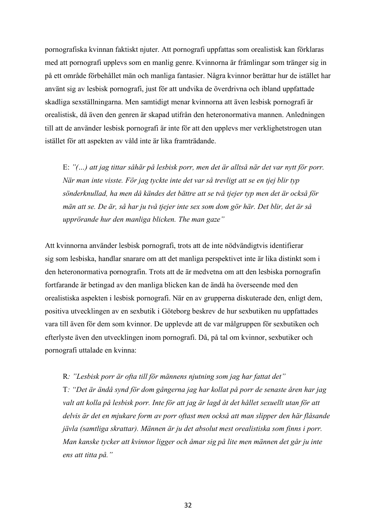pornografiska kvinnan faktiskt njuter. Att pornografi uppfattas som orealistisk kan förklaras med att pornografi upplevs som en manlig genre. Kvinnorna är främlingar som tränger sig in på ett område förbehållet män och manliga fantasier. Några kvinnor berättar hur de istället har använt sig av lesbisk pornografi, just för att undvika de överdrivna och ibland uppfattade skadliga sexställningarna. Men samtidigt menar kvinnorna att även lesbisk pornografi är orealistisk, då även den genren är skapad utifrån den heteronormativa mannen. Anledningen till att de använder lesbisk pornografi är inte för att den upplevs mer verklighetstrogen utan istället för att aspekten av våld inte är lika framträdande.

E: *"(…) att jag tittar såhär på lesbisk porr, men det är alltså när det var nytt för porr. När man inte visste. För jag tyckte inte det var så trevligt att se en tjej blir typ sönderknullad, ha men då kändes det bättre att se två tjejer typ men det är också för män att se. De är, så har ju två tjejer inte sex som dom gör här. Det blir, det är så upprörande hur den manliga blicken. The man gaze"*

Att kvinnorna använder lesbisk pornografi, trots att de inte nödvändigtvis identifierar sig som lesbiska, handlar snarare om att det manliga perspektivet inte är lika distinkt som i den heteronormativa pornografin. Trots att de är medvetna om att den lesbiska pornografin fortfarande är betingad av den manliga blicken kan de ändå ha överseende med den orealistiska aspekten i lesbisk pornografi. När en av grupperna diskuterade den, enligt dem, positiva utvecklingen av en sexbutik i Göteborg beskrev de hur sexbutiken nu uppfattades vara till även för dem som kvinnor. De upplevde att de var målgruppen för sexbutiken och efterlyste även den utvecklingen inom pornografi. Då, på tal om kvinnor, sexbutiker och pornografi uttalade en kvinna:

#### R*: "Lesbisk porr är ofta till för männens njutning som jag har fattat det"*

T*: "Det är ändå synd för dom gångerna jag har kollat på porr de senaste åren har jag valt att kolla på lesbisk porr. Inte för att jag är lagd åt det hållet sexuellt utan för att delvis är det en mjukare form av porr oftast men också att man slipper den här flåsande jävla (samtliga skrattar). Männen är ju det absolut mest orealistiska som finns i porr. Man kanske tycker att kvinnor ligger och åmar sig på lite men männen det går ju inte ens att titta på."*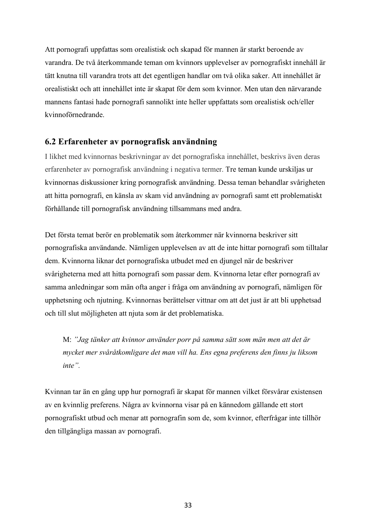Att pornografi uppfattas som orealistisk och skapad för mannen är starkt beroende av varandra. De två återkommande teman om kvinnors upplevelser av pornografiskt innehåll är tätt knutna till varandra trots att det egentligen handlar om två olika saker. Att innehållet är orealistiskt och att innehållet inte är skapat för dem som kvinnor. Men utan den närvarande mannens fantasi hade pornografi sannolikt inte heller uppfattats som orealistisk och/eller kvinnoförnedrande.

### **6.2 Erfarenheter av pornografisk användning**

I likhet med kvinnornas beskrivningar av det pornografiska innehållet, beskrivs även deras erfarenheter av pornografisk användning i negativa termer. Tre teman kunde urskiljas ur kvinnornas diskussioner kring pornografisk användning. Dessa teman behandlar svårigheten att hitta pornografi, en känsla av skam vid användning av pornografi samt ett problematiskt förhållande till pornografisk användning tillsammans med andra.

Det första temat berör en problematik som återkommer när kvinnorna beskriver sitt pornografiska användande. Nämligen upplevelsen av att de inte hittar pornografi som tilltalar dem. Kvinnorna liknar det pornografiska utbudet med en djungel när de beskriver svårigheterna med att hitta pornografi som passar dem. Kvinnorna letar efter pornografi av samma anledningar som män ofta anger i fråga om användning av pornografi, nämligen för upphetsning och njutning. Kvinnornas berättelser vittnar om att det just är att bli upphetsad och till slut möjligheten att njuta som är det problematiska.

M: *"Jag tänker att kvinnor använder porr på samma sätt som män men att det är mycket mer svåråtkomligare det man vill ha. Ens egna preferens den finns ju liksom inte".*

Kvinnan tar än en gång upp hur pornografi är skapat för mannen vilket försvårar existensen av en kvinnlig preferens. Några av kvinnorna visar på en kännedom gällande ett stort pornografiskt utbud och menar att pornografin som de, som kvinnor, efterfrågar inte tillhör den tillgängliga massan av pornografi.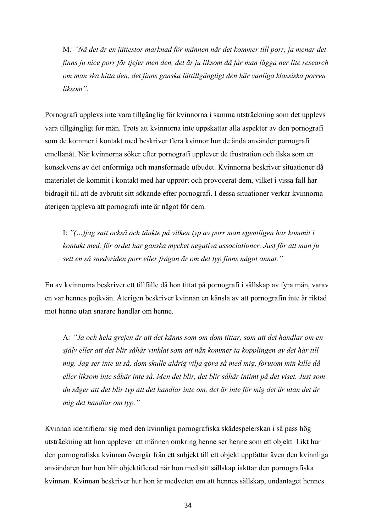M*: "Nä det är en jättestor marknad för männen när det kommer till porr, ja menar det finns ju nice porr för tjejer men den, det är ju liksom då får man lägga ner lite research om man ska hitta den, det finns ganska lättillgängligt den här vanliga klassiska porren liksom".*

Pornografi upplevs inte vara tillgänglig för kvinnorna i samma utsträckning som det upplevs vara tillgängligt för män. Trots att kvinnorna inte uppskattar alla aspekter av den pornografi som de kommer i kontakt med beskriver flera kvinnor hur de ändå använder pornografi emellanåt. När kvinnorna söker efter pornografi upplever de frustration och ilska som en konsekvens av det enformiga och mansformade utbudet. Kvinnorna beskriver situationer då materialet de kommit i kontakt med har upprört och provocerat dem, vilket i vissa fall har bidragit till att de avbrutit sitt sökande efter pornografi. I dessa situationer verkar kvinnorna återigen uppleva att pornografi inte är något för dem.

I: *"(…)jag satt också och tänkte på vilken typ av porr man egentligen har kommit i kontakt med, för ordet har ganska mycket negativa associationer. Just för att man ju sett en så snedvriden porr eller frågan är om det typ finns något annat."*

En av kvinnorna beskriver ett tillfälle då hon tittat på pornografi i sällskap av fyra män, varav en var hennes pojkvän. Återigen beskriver kvinnan en känsla av att pornografin inte är riktad mot henne utan snarare handlar om henne.

A*: "Ja och hela grejen är att det känns som om dom tittar, som att det handlar om en själv eller att det blir såhär vinklat som att nån kommer ta kopplingen av det här till mig. Jag ser inte ut så, dom skulle aldrig vilja göra så med mig, förutom min kille då eller liksom inte såhär inte så. Men det blir, det blir såhär intimt på det viset. Just som du säger att det blir typ att det handlar inte om, det är inte för mig det är utan det är mig det handlar om typ."*

Kvinnan identifierar sig med den kvinnliga pornografiska skådespelerskan i så pass hög utsträckning att hon upplever att männen omkring henne ser henne som ett objekt. Likt hur den pornografiska kvinnan övergår från ett subjekt till ett objekt uppfattar även den kvinnliga användaren hur hon blir objektifierad när hon med sitt sällskap iakttar den pornografiska kvinnan. Kvinnan beskriver hur hon är medveten om att hennes sällskap, undantaget hennes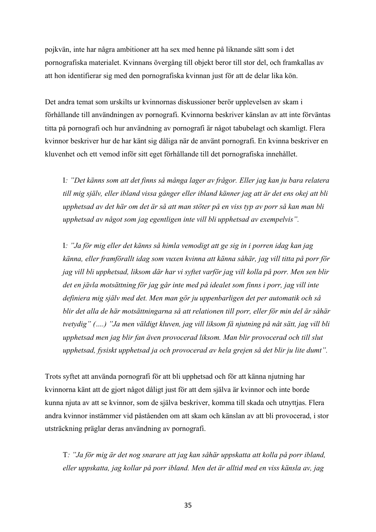pojkvän, inte har några ambitioner att ha sex med henne på liknande sätt som i det pornografiska materialet. Kvinnans övergång till objekt beror till stor del, och framkallas av att hon identifierar sig med den pornografiska kvinnan just för att de delar lika kön.

Det andra temat som urskilts ur kvinnornas diskussioner berör upplevelsen av skam i förhållande till användningen av pornografi. Kvinnorna beskriver känslan av att inte förväntas titta på pornografi och hur användning av pornografi är något tabubelagt och skamligt. Flera kvinnor beskriver hur de har känt sig dåliga när de använt pornografi. En kvinna beskriver en kluvenhet och ett vemod inför sitt eget förhållande till det pornografiska innehållet.

I*: "Det känns som att det finns så många lager av frågor. Eller jag kan ju bara relatera till mig själv, eller ibland vissa gånger eller ibland känner jag att är det ens okej att bli upphetsad av det här om det är så att man stöter på en viss typ av porr så kan man bli upphetsad av något som jag egentligen inte vill bli upphetsad av exempelvis".*

I*: "Ja för mig eller det känns så himla vemodigt att ge sig in i porren idag kan jag känna, eller framförallt idag som vuxen kvinna att känna såhär, jag vill titta på porr för jag vill bli upphetsad, liksom där har vi syftet varför jag vill kolla på porr. Men sen blir det en jävla motsättning för jag går inte med på idealet som finns i porr, jag vill inte definiera mig själv med det. Men man gör ju uppenbarligen det per automatik och så blir det alla de här motsättningarna så att relationen till porr, eller för min del är såhär tvetydig" (….) "Ja men väldigt kluven, jag vill liksom få njutning på nåt sätt, jag vill bli upphetsad men jag blir fan även provocerad liksom. Man blir provocerad och till slut upphetsad, fysiskt upphetsad ja och provocerad av hela grejen så det blir ju lite dumt".*

Trots syftet att använda pornografi för att bli upphetsad och för att känna njutning har kvinnorna känt att de gjort något dåligt just för att dem själva är kvinnor och inte borde kunna njuta av att se kvinnor, som de själva beskriver, komma till skada och utnyttjas. Flera andra kvinnor instämmer vid påståenden om att skam och känslan av att bli provocerad, i stor utsträckning präglar deras användning av pornografi.

T*: "Ja för mig är det nog snarare att jag kan såhär uppskatta att kolla på porr ibland, eller uppskatta, jag kollar på porr ibland. Men det är alltid med en viss känsla av, jag*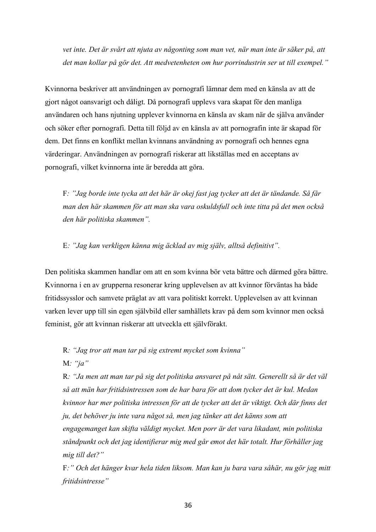*vet inte. Det är svårt att njuta av någonting som man vet, när man inte är säker på, att det man kollar på gör det. Att medvetenheten om hur porrindustrin ser ut till exempel."*

Kvinnorna beskriver att användningen av pornografi lämnar dem med en känsla av att de gjort något oansvarigt och dåligt. Då pornografi upplevs vara skapat för den manliga användaren och hans njutning upplever kvinnorna en känsla av skam när de själva använder och söker efter pornografi. Detta till följd av en känsla av att pornografin inte är skapad för dem. Det finns en konflikt mellan kvinnans användning av pornografi och hennes egna värderingar. Användningen av pornografi riskerar att likställas med en acceptans av pornografi, vilket kvinnorna inte är beredda att göra.

F*: "Jag borde inte tycka att det här är okej fast jag tycker att det är tändande. Så får man den här skammen för att man ska vara oskuldsfull och inte titta på det men också den här politiska skammen".*

E*: "Jag kan verkligen känna mig äcklad av mig själv, alltså definitivt".*

Den politiska skammen handlar om att en som kvinna bör veta bättre och därmed göra bättre. Kvinnorna i en av grupperna resonerar kring upplevelsen av att kvinnor förväntas ha både fritidssysslor och samvete präglat av att vara politiskt korrekt. Upplevelsen av att kvinnan varken lever upp till sin egen självbild eller samhällets krav på dem som kvinnor men också feminist, gör att kvinnan riskerar att utveckla ett självförakt.

R*: "Jag tror att man tar på sig extremt mycket som kvinna"*

M*: "ja"*

R*: "Ja men att man tar på sig det politiska ansvaret på nåt sätt. Generellt så är det väl så att män har fritidsintressen som de har bara för att dom tycker det är kul. Medan kvinnor har mer politiska intressen för att de tycker att det är viktigt. Och där finns det ju, det behöver ju inte vara något så, men jag tänker att det känns som att engagemanget kan skifta väldigt mycket. Men porr är det vara likadant, min politiska ståndpunkt och det jag identifierar mig med går emot det här totalt. Hur förhåller jag mig till det?"*

F*:" Och det hänger kvar hela tiden liksom. Man kan ju bara vara såhär, nu gör jag mitt fritidsintresse"*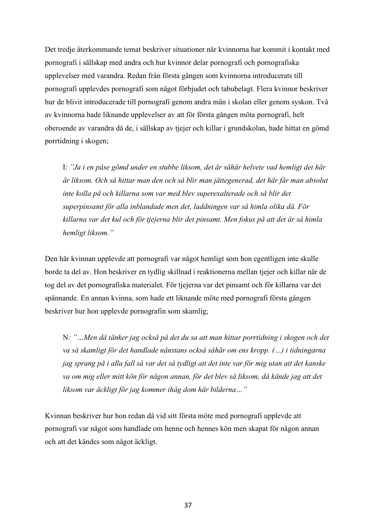Det tredje återkommande temat beskriver situationer när kvinnorna har kommit i kontakt med pornografi i sällskap med andra och hur kvinnor delar pornografi och pornografiska upplevelser med varandra. Redan från första gången som kvinnorna introducerats till pornografi upplevdes pornografi som något förbjudet och tabubelagt. Flera kvinnor beskriver hur de blivit introducerade till pornografi genom andra män i skolan eller genom syskon. Två av kvinnorna hade liknande upplevelser av att för första gången möta pornografi, helt oberoende av varandra då de, i sällskap av tjejer och killar i grundskolan, hade hittat en gömd porrtidning i skogen;

I: *"Ja i en påse gömd under en stubbe liksom, det är såhär helvete vad hemligt det här är liksom. Och så hittar man den och så blir man jättegenerad, det här får man absolut inte kolla på och killarna som var med blev superexalterade och så blir det superpinsamt för alla inblandade men det, laddningen var så himla olika då. För killarna var det kul och för tjejerna blir det pinsamt. Men fokus på att det är så himla hemligt liksom."*

Den här kvinnan upplevde att pornografi var något hemligt som hon egentligen inte skulle borde ta del av. Hon beskriver en tydlig skillnad i reaktionerna mellan tjejer och killar när de tog del av det pornografiska materialet. För tjejerna var det pinsamt och för killarna var det spännande. En annan kvinna, som hade ett liknande möte med pornografi första gången beskriver hur hon upplevde pornografin som skamlig;

N*: "…Men då tänker jag också på det du sa att man hittar porrtidning i skogen och det va så skamligt för det handlade nånstans också såhär om ens kropp. (…) i tidningarna jag sprang på i alla fall så var det så tydligt att det inte var för mig utan att det kanske va om mig eller mitt kön för någon annan, för det blev så liksom, då kände jag att det liksom var äckligt för jag kommer ihåg dom här bilderna…"*

Kvinnan beskriver hur hon redan då vid sitt första möte med pornografi upplevde att pornografi var något som handlade om henne och hennes kön men skapat för någon annan och att det kändes som något äckligt.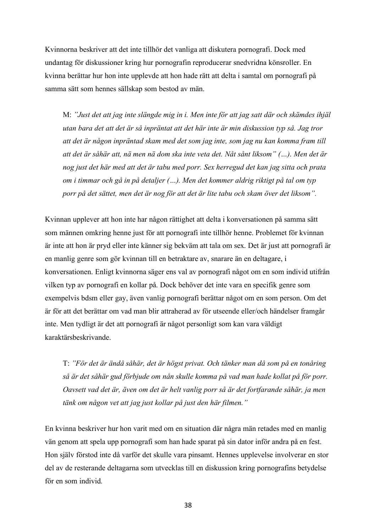Kvinnorna beskriver att det inte tillhör det vanliga att diskutera pornografi. Dock med undantag för diskussioner kring hur pornografin reproducerar snedvridna könsroller. En kvinna berättar hur hon inte upplevde att hon hade rätt att delta i samtal om pornografi på samma sätt som hennes sällskap som bestod av män.

M: *"Just det att jag inte slängde mig in i. Men inte för att jag satt där och skämdes ihjäl utan bara det att det är så inpräntat att det här inte är min diskussion typ så. Jag tror att det är någon inpräntad skam med det som jag inte, som jag nu kan komma fram till att det är såhär att, nä men nä dom ska inte veta det. Nåt sånt liksom" (…). Men det är nog just det här med att det är tabu med porr. Sex herregud det kan jag sitta och prata om i timmar och gå in på detaljer (…). Men det kommer aldrig riktigt på tal om typ porr på det sättet, men det är nog för att det är lite tabu och skam över det liksom".*

Kvinnan upplever att hon inte har någon rättighet att delta i konversationen på samma sätt som männen omkring henne just för att pornografi inte tillhör henne. Problemet för kvinnan är inte att hon är pryd eller inte känner sig bekväm att tala om sex. Det är just att pornografi är en manlig genre som gör kvinnan till en betraktare av, snarare än en deltagare, i konversationen. Enligt kvinnorna säger ens val av pornografi något om en som individ utifrån vilken typ av pornografi en kollar på. Dock behöver det inte vara en specifik genre som exempelvis bdsm eller gay, även vanlig pornografi berättar något om en som person. Om det är för att det berättar om vad man blir attraherad av för utseende eller/och händelser framgår inte. Men tydligt är det att pornografi är något personligt som kan vara väldigt karaktärsbeskrivande.

T: *"För det är ändå såhär, det är högst privat. Och tänker man då som på en tonåring så är det såhär gud förbjude om nån skulle komma på vad man hade kollat på för porr. Oavsett vad det är, även om det är helt vanlig porr så är det fortfarande såhär, ja men tänk om någon vet att jag just kollar på just den här filmen."*

En kvinna beskriver hur hon varit med om en situation där några män retades med en manlig vän genom att spela upp pornografi som han hade sparat på sin dator inför andra på en fest. Hon själv förstod inte då varför det skulle vara pinsamt. Hennes upplevelse involverar en stor del av de resterande deltagarna som utvecklas till en diskussion kring pornografins betydelse för en som individ.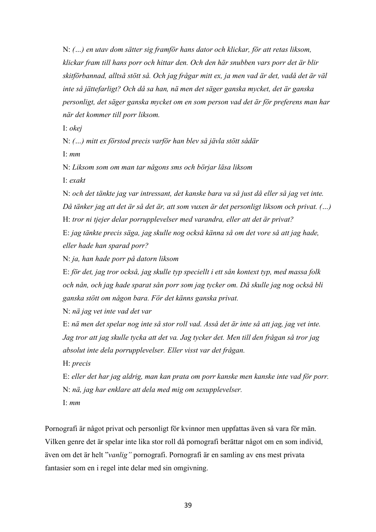N: *(…) en utav dom sätter sig framför hans dator och klickar, för att retas liksom, klickar fram till hans porr och hittar den. Och den här snubben vars porr det är blir skitförbannad, alltså stött så. Och jag frågar mitt ex, ja men vad är det, vadå det är väl inte så jättefarligt? Och då sa han, nä men det säger ganska mycket, det är ganska personligt, det säger ganska mycket om en som person vad det är för preferens man har när det kommer till porr liksom.*

I: *okej*

N: *(…) mitt ex förstod precis varför han blev så jävla stött sådär*

I: *mm*

N: *Liksom som om man tar någons sms och börjar läsa liksom*

I: *exakt*

N: *och det tänkte jag var intressant, det kanske bara va så just då eller så jag vet inte. Då tänker jag att det är så det är, att som vuxen är det personligt liksom och privat. (…)* H: *tror ni tjejer delar porrupplevelser med varandra, eller att det är privat?* E: *jag tänkte precis säga, jag skulle nog också känna så om det vore så att jag hade, eller hade han sparad porr?*

N: *ja, han hade porr på datorn liksom*

E: *för det, jag tror också, jag skulle typ speciellt i ett sån kontext typ, med massa folk och nån, och jag hade sparat sån porr som jag tycker om. Då skulle jag nog också bli ganska stött om någon bara. För det känns ganska privat.*

N: *nä jag vet inte vad det var*

E: *nä men det spelar nog inte så stor roll vad. Asså det är inte så att jag, jag vet inte. Jag tror att jag skulle tycka att det va. Jag tycker det. Men till den frågan så tror jag absolut inte dela porrupplevelser. Eller visst var det frågan.*

H: *precis*

E: *eller det har jag aldrig, man kan prata om porr kanske men kanske inte vad för porr.* N: *nä, jag har enklare att dela med mig om sexupplevelser.* I: *mm*

Pornografi är något privat och personligt för kvinnor men uppfattas även så vara för män. Vilken genre det är spelar inte lika stor roll då pornografi berättar något om en som individ, även om det är helt "*vanlig"* pornografi. Pornografi är en samling av ens mest privata fantasier som en i regel inte delar med sin omgivning.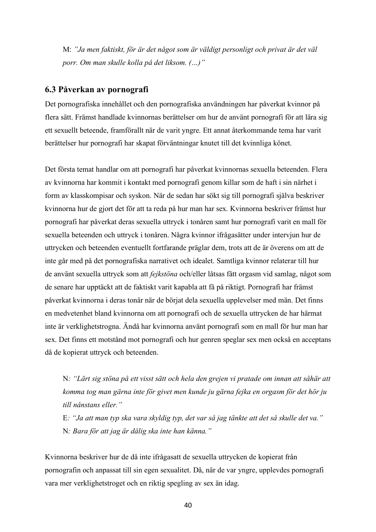M: *"Ja men faktiskt, för är det något som är väldigt personligt och privat är det väl porr. Om man skulle kolla på det liksom. (…)"*

#### **6.3 Påverkan av pornografi**

Det pornografiska innehållet och den pornografiska användningen har påverkat kvinnor på flera sätt. Främst handlade kvinnornas berättelser om hur de använt pornografi för att lära sig ett sexuellt beteende, framförallt när de varit yngre. Ett annat återkommande tema har varit berättelser hur pornografi har skapat förväntningar knutet till det kvinnliga könet.

Det första temat handlar om att pornografi har påverkat kvinnornas sexuella beteenden. Flera av kvinnorna har kommit i kontakt med pornografi genom killar som de haft i sin närhet i form av klasskompisar och syskon. När de sedan har sökt sig till pornografi själva beskriver kvinnorna hur de gjort det för att ta reda på hur man har sex. Kvinnorna beskriver främst hur pornografi har påverkat deras sexuella uttryck i tonåren samt hur pornografi varit en mall för sexuella beteenden och uttryck i tonåren. Några kvinnor ifrågasätter under intervjun hur de uttrycken och beteenden eventuellt fortfarande präglar dem, trots att de är överens om att de inte går med på det pornografiska narrativet och idealet. Samtliga kvinnor relaterar till hur de använt sexuella uttryck som att *fejkstöna* och/eller låtsas fått orgasm vid samlag, något som de senare har upptäckt att de faktiskt varit kapabla att få på riktigt. Pornografi har främst påverkat kvinnorna i deras tonår när de börjat dela sexuella upplevelser med män. Det finns en medvetenhet bland kvinnorna om att pornografi och de sexuella uttrycken de har härmat inte är verklighetstrogna. Ändå har kvinnorna använt pornografi som en mall för hur man har sex. Det finns ett motstånd mot pornografi och hur genren speglar sex men också en acceptans då de kopierat uttryck och beteenden.

N*: "Lärt sig stöna på ett visst sätt och hela den grejen vi pratade om innan att såhär att komma tog man gärna inte för givet men kunde ju gärna fejka en orgasm för det hör ju till nånstans eller."*

E*: "Ja att man typ ska vara skyldig typ, det var så jag tänkte att det så skulle det va."* N*: Bara för att jag är dålig ska inte han känna."*

Kvinnorna beskriver hur de då inte ifrågasatt de sexuella uttrycken de kopierat från pornografin och anpassat till sin egen sexualitet. Då, när de var yngre, upplevdes pornografi vara mer verklighetstroget och en riktig spegling av sex än idag.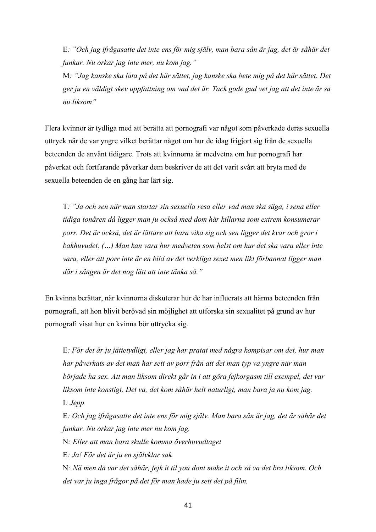E*: "Och jag ifrågasatte det inte ens för mig själv, man bara sån är jag, det är såhär det funkar. Nu orkar jag inte mer, nu kom jag."*

M*: "Jag kanske ska låta på det här sättet, jag kanske ska bete mig på det här sättet. Det ger ju en väldigt skev uppfattning om vad det är. Tack gode gud vet jag att det inte är så nu liksom"*

Flera kvinnor är tydliga med att berätta att pornografi var något som påverkade deras sexuella uttryck när de var yngre vilket berättar något om hur de idag frigjort sig från de sexuella beteenden de använt tidigare. Trots att kvinnorna är medvetna om hur pornografi har påverkat och fortfarande påverkar dem beskriver de att det varit svårt att bryta med de sexuella beteenden de en gång har lärt sig.

T*: "Ja och sen när man startar sin sexuella resa eller vad man ska säga, i sena eller tidiga tonåren då ligger man ju också med dom här killarna som extrem konsumerar porr. Det är också, det är lättare att bara vika sig och sen ligger det kvar och gror i bakhuvudet. (…) Man kan vara hur medveten som helst om hur det ska vara eller inte vara, eller att porr inte är en bild av det verkliga sexet men likt förbannat ligger man där i sängen är det nog lätt att inte tänka så."*

En kvinna berättar, när kvinnorna diskuterar hur de har influerats att härma beteenden från pornografi, att hon blivit berövad sin möjlighet att utforska sin sexualitet på grund av hur pornografi visat hur en kvinna bör uttrycka sig.

E*: För det är ju jättetydligt, eller jag har pratat med några kompisar om det, hur man har påverkats av det man har sett av porr från att det man typ va yngre när man började ha sex. Att man liksom direkt går in i att göra fejkorgasm till exempel, det var liksom inte konstigt. Det va, det kom såhär helt naturligt, man bara ja nu kom jag.* I*: Jepp*

E*: Och jag ifrågasatte det inte ens för mig själv. Man bara sån är jag, det är såhär det funkar. Nu orkar jag inte mer nu kom jag.*

N*: Eller att man bara skulle komma överhuvudtaget*

E*: Ja! För det är ju en självklar sak*

N*: Nä men då var det såhär, fejk it til you dont make it och så va det bra liksom. Och det var ju inga frågor på det för man hade ju sett det på film.*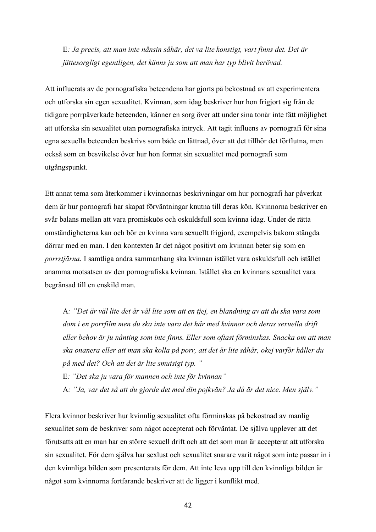E*: Ja precis, att man inte nånsin såhär, det va lite konstigt, vart finns det. Det är jättesorgligt egentligen, det känns ju som att man har typ blivit berövad.*

Att influerats av de pornografiska beteendena har gjorts på bekostnad av att experimentera och utforska sin egen sexualitet. Kvinnan, som idag beskriver hur hon frigjort sig från de tidigare porrpåverkade beteenden, känner en sorg över att under sina tonår inte fått möjlighet att utforska sin sexualitet utan pornografiska intryck. Att tagit influens av pornografi för sina egna sexuella beteenden beskrivs som både en lättnad, över att det tillhör det förflutna, men också som en besvikelse över hur hon format sin sexualitet med pornografi som utgångspunkt.

Ett annat tema som återkommer i kvinnornas beskrivningar om hur pornografi har påverkat dem är hur pornografi har skapat förväntningar knutna till deras kön. Kvinnorna beskriver en svår balans mellan att vara promiskuös och oskuldsfull som kvinna idag. Under de rätta omständigheterna kan och bör en kvinna vara sexuellt frigjord, exempelvis bakom stängda dörrar med en man. I den kontexten är det något positivt om kvinnan beter sig som en *porrstjärna*. I samtliga andra sammanhang ska kvinnan istället vara oskuldsfull och istället anamma motsatsen av den pornografiska kvinnan. Istället ska en kvinnans sexualitet vara begränsad till en enskild man.

A*: "Det är väl lite det är väl lite som att en tjej, en blandning av att du ska vara som dom i en porrfilm men du ska inte vara det här med kvinnor och deras sexuella drift eller behov är ju nånting som inte finns. Eller som oftast förminskas. Snacka om att man ska onanera eller att man ska kolla på porr, att det är lite såhär, okej varför håller du på med det? Och att det är lite smutsigt typ. "*

E*: "Det ska ju vara för mannen och inte för kvinnan"*

A*: "Ja, var det så att du gjorde det med din pojkvän? Ja då är det nice. Men själv."*

Flera kvinnor beskriver hur kvinnlig sexualitet ofta förminskas på bekostnad av manlig sexualitet som de beskriver som något accepterat och förväntat. De själva upplever att det förutsatts att en man har en större sexuell drift och att det som man är accepterat att utforska sin sexualitet. För dem själva har sexlust och sexualitet snarare varit något som inte passar in i den kvinnliga bilden som presenterats för dem. Att inte leva upp till den kvinnliga bilden är något som kvinnorna fortfarande beskriver att de ligger i konflikt med.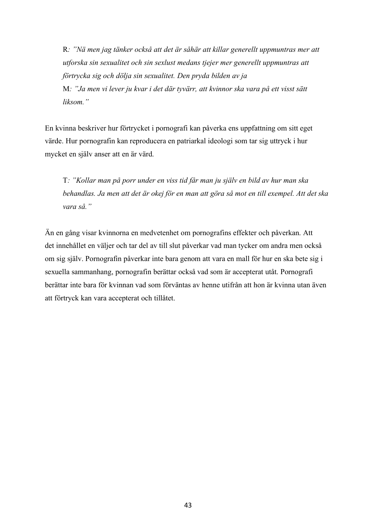R*: "Nä men jag tänker också att det är såhär att killar generellt uppmuntras mer att utforska sin sexualitet och sin sexlust medans tjejer mer generellt uppmuntras att förtrycka sig och dölja sin sexualitet. Den pryda bilden av ja* M*: "Ja men vi lever ju kvar i det där tyvärr, att kvinnor ska vara på ett visst sätt liksom."*

En kvinna beskriver hur förtrycket i pornografi kan påverka ens uppfattning om sitt eget värde. Hur pornografin kan reproducera en patriarkal ideologi som tar sig uttryck i hur mycket en själv anser att en är värd.

T*: "Kollar man på porr under en viss tid får man ju själv en bild av hur man ska behandlas. Ja men att det är okej för en man att göra så mot en till exempel. Att det ska vara så."*

Än en gång visar kvinnorna en medvetenhet om pornografins effekter och påverkan. Att det innehållet en väljer och tar del av till slut påverkar vad man tycker om andra men också om sig själv. Pornografin påverkar inte bara genom att vara en mall för hur en ska bete sig i sexuella sammanhang, pornografin berättar också vad som är accepterat utåt. Pornografi berättar inte bara för kvinnan vad som förväntas av henne utifrån att hon är kvinna utan även att förtryck kan vara accepterat och tillåtet.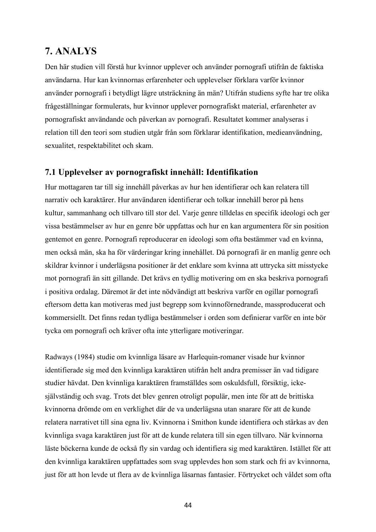# **7. ANALYS**

Den här studien vill förstå hur kvinnor upplever och använder pornografi utifrån de faktiska användarna. Hur kan kvinnornas erfarenheter och upplevelser förklara varför kvinnor använder pornografi i betydligt lägre utsträckning än män? Utifrån studiens syfte har tre olika frågeställningar formulerats, hur kvinnor upplever pornografiskt material, erfarenheter av pornografiskt användande och påverkan av pornografi. Resultatet kommer analyseras i relation till den teori som studien utgår från som förklarar identifikation, medieanvändning, sexualitet, respektabilitet och skam.

#### **7.1 Upplevelser av pornografiskt innehåll: Identifikation**

Hur mottagaren tar till sig innehåll påverkas av hur hen identifierar och kan relatera till narrativ och karaktärer. Hur användaren identifierar och tolkar innehåll beror på hens kultur, sammanhang och tillvaro till stor del. Varje genre tilldelas en specifik ideologi och ger vissa bestämmelser av hur en genre bör uppfattas och hur en kan argumentera för sin position gentemot en genre. Pornografi reproducerar en ideologi som ofta bestämmer vad en kvinna, men också män, ska ha för värderingar kring innehållet. Då pornografi är en manlig genre och skildrar kvinnor i underlägsna positioner är det enklare som kvinna att uttrycka sitt misstycke mot pornografi än sitt gillande. Det krävs en tydlig motivering om en ska beskriva pornografi i positiva ordalag. Däremot är det inte nödvändigt att beskriva varför en ogillar pornografi eftersom detta kan motiveras med just begrepp som kvinnoförnedrande, massproducerat och kommersiellt. Det finns redan tydliga bestämmelser i orden som definierar varför en inte bör tycka om pornografi och kräver ofta inte ytterligare motiveringar.

Radways (1984) studie om kvinnliga läsare av Harlequin-romaner visade hur kvinnor identifierade sig med den kvinnliga karaktären utifrån helt andra premisser än vad tidigare studier hävdat. Den kvinnliga karaktären framställdes som oskuldsfull, försiktig, ickesjälvständig och svag. Trots det blev genren otroligt populär, men inte för att de brittiska kvinnorna drömde om en verklighet där de va underlägsna utan snarare för att de kunde relatera narrativet till sina egna liv. Kvinnorna i Smithon kunde identifiera och stärkas av den kvinnliga svaga karaktären just för att de kunde relatera till sin egen tillvaro. När kvinnorna läste böckerna kunde de också fly sin vardag och identifiera sig med karaktären. Istället för att den kvinnliga karaktären uppfattades som svag upplevdes hon som stark och fri av kvinnorna, just för att hon levde ut flera av de kvinnliga läsarnas fantasier. Förtrycket och våldet som ofta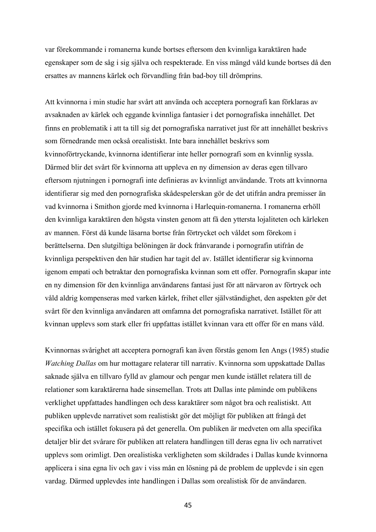var förekommande i romanerna kunde bortses eftersom den kvinnliga karaktären hade egenskaper som de såg i sig själva och respekterade. En viss mängd våld kunde bortses då den ersattes av mannens kärlek och förvandling från bad-boy till drömprins.

Att kvinnorna i min studie har svårt att använda och acceptera pornografi kan förklaras av avsaknaden av kärlek och eggande kvinnliga fantasier i det pornografiska innehållet. Det finns en problematik i att ta till sig det pornografiska narrativet just för att innehållet beskrivs som förnedrande men också orealistiskt. Inte bara innehållet beskrivs som kvinnoförtryckande, kvinnorna identifierar inte heller pornografi som en kvinnlig syssla. Därmed blir det svårt för kvinnorna att uppleva en ny dimension av deras egen tillvaro eftersom njutningen i pornografi inte definieras av kvinnligt användande. Trots att kvinnorna identifierar sig med den pornografiska skådespelerskan gör de det utifrån andra premisser än vad kvinnorna i Smithon gjorde med kvinnorna i Harlequin-romanerna. I romanerna erhöll den kvinnliga karaktären den högsta vinsten genom att få den yttersta lojaliteten och kärleken av mannen. Först då kunde läsarna bortse från förtrycket och våldet som förekom i berättelserna. Den slutgiltiga belöningen är dock frånvarande i pornografin utifrån de kvinnliga perspektiven den här studien har tagit del av. Istället identifierar sig kvinnorna igenom empati och betraktar den pornografiska kvinnan som ett offer. Pornografin skapar inte en ny dimension för den kvinnliga användarens fantasi just för att närvaron av förtryck och våld aldrig kompenseras med varken kärlek, frihet eller självständighet, den aspekten gör det svårt för den kvinnliga användaren att omfamna det pornografiska narrativet. Istället för att kvinnan upplevs som stark eller fri uppfattas istället kvinnan vara ett offer för en mans våld.

Kvinnornas svårighet att acceptera pornografi kan även förstås genom Ien Angs (1985) studie *Watching Dallas* om hur mottagare relaterar till narrativ. Kvinnorna som uppskattade Dallas saknade själva en tillvaro fylld av glamour och pengar men kunde istället relatera till de relationer som karaktärerna hade sinsemellan. Trots att Dallas inte påminde om publikens verklighet uppfattades handlingen och dess karaktärer som något bra och realistiskt. Att publiken upplevde narrativet som realistiskt gör det möjligt för publiken att frångå det specifika och istället fokusera på det generella. Om publiken är medveten om alla specifika detaljer blir det svårare för publiken att relatera handlingen till deras egna liv och narrativet upplevs som orimligt. Den orealistiska verkligheten som skildrades i Dallas kunde kvinnorna applicera i sina egna liv och gav i viss mån en lösning på de problem de upplevde i sin egen vardag. Därmed upplevdes inte handlingen i Dallas som orealistisk för de användaren.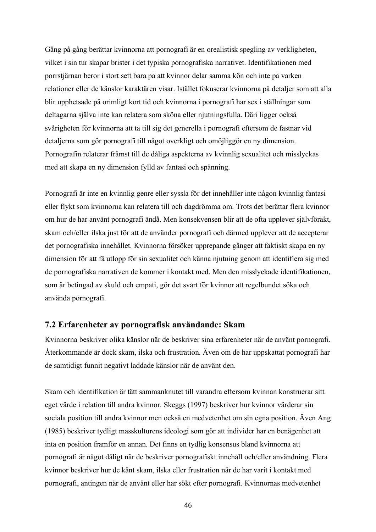Gång på gång berättar kvinnorna att pornografi är en orealistisk spegling av verkligheten, vilket i sin tur skapar brister i det typiska pornografiska narrativet. Identifikationen med porrstjärnan beror i stort sett bara på att kvinnor delar samma kön och inte på varken relationer eller de känslor karaktären visar. Istället fokuserar kvinnorna på detaljer som att alla blir upphetsade på orimligt kort tid och kvinnorna i pornografi har sex i ställningar som deltagarna själva inte kan relatera som sköna eller njutningsfulla. Däri ligger också svårigheten för kvinnorna att ta till sig det generella i pornografi eftersom de fastnar vid detaljerna som gör pornografi till något overkligt och omöjliggör en ny dimension. Pornografin relaterar främst till de dåliga aspekterna av kvinnlig sexualitet och misslyckas med att skapa en ny dimension fylld av fantasi och spänning.

Pornografi är inte en kvinnlig genre eller syssla för det innehåller inte någon kvinnlig fantasi eller flykt som kvinnorna kan relatera till och dagdrömma om. Trots det berättar flera kvinnor om hur de har använt pornografi ändå. Men konsekvensen blir att de ofta upplever självförakt, skam och/eller ilska just för att de använder pornografi och därmed upplever att de accepterar det pornografiska innehållet. Kvinnorna försöker upprepande gånger att faktiskt skapa en ny dimension för att få utlopp för sin sexualitet och känna njutning genom att identifiera sig med de pornografiska narrativen de kommer i kontakt med. Men den misslyckade identifikationen, som är betingad av skuld och empati, gör det svårt för kvinnor att regelbundet söka och använda pornografi.

#### **7.2 Erfarenheter av pornografisk användande: Skam**

Kvinnorna beskriver olika känslor när de beskriver sina erfarenheter när de använt pornografi. Återkommande är dock skam, ilska och frustration. Även om de har uppskattat pornografi har de samtidigt funnit negativt laddade känslor när de använt den.

Skam och identifikation är tätt sammanknutet till varandra eftersom kvinnan konstruerar sitt eget värde i relation till andra kvinnor. Skeggs (1997) beskriver hur kvinnor värderar sin sociala position till andra kvinnor men också en medvetenhet om sin egna position. Även Ang (1985) beskriver tydligt masskulturens ideologi som gör att individer har en benägenhet att inta en position framför en annan. Det finns en tydlig konsensus bland kvinnorna att pornografi är något dåligt när de beskriver pornografiskt innehåll och/eller användning. Flera kvinnor beskriver hur de känt skam, ilska eller frustration när de har varit i kontakt med pornografi, antingen när de använt eller har sökt efter pornografi. Kvinnornas medvetenhet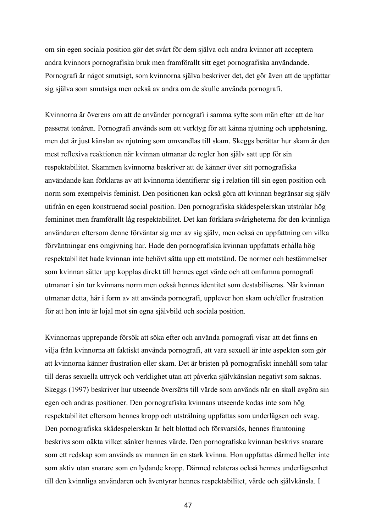om sin egen sociala position gör det svårt för dem själva och andra kvinnor att acceptera andra kvinnors pornografiska bruk men framförallt sitt eget pornografiska användande. Pornografi är något smutsigt, som kvinnorna själva beskriver det, det gör även att de uppfattar sig själva som smutsiga men också av andra om de skulle använda pornografi.

Kvinnorna är överens om att de använder pornografi i samma syfte som män efter att de har passerat tonåren. Pornografi används som ett verktyg för att känna njutning och upphetsning, men det är just känslan av njutning som omvandlas till skam. Skeggs berättar hur skam är den mest reflexiva reaktionen när kvinnan utmanar de regler hon själv satt upp för sin respektabilitet. Skammen kvinnorna beskriver att de känner över sitt pornografiska användande kan förklaras av att kvinnorna identifierar sig i relation till sin egen position och norm som exempelvis feminist. Den positionen kan också göra att kvinnan begränsar sig själv utifrån en egen konstruerad social position. Den pornografiska skådespelerskan utstrålar hög femininet men framförallt låg respektabilitet. Det kan förklara svårigheterna för den kvinnliga användaren eftersom denne förväntar sig mer av sig själv, men också en uppfattning om vilka förväntningar ens omgivning har. Hade den pornografiska kvinnan uppfattats erhålla hög respektabilitet hade kvinnan inte behövt sätta upp ett motstånd. De normer och bestämmelser som kvinnan sätter upp kopplas direkt till hennes eget värde och att omfamna pornografi utmanar i sin tur kvinnans norm men också hennes identitet som destabiliseras. När kvinnan utmanar detta, här i form av att använda pornografi, upplever hon skam och/eller frustration för att hon inte är lojal mot sin egna självbild och sociala position.

Kvinnornas upprepande försök att söka efter och använda pornografi visar att det finns en vilja från kvinnorna att faktiskt använda pornografi, att vara sexuell är inte aspekten som gör att kvinnorna känner frustration eller skam. Det är bristen på pornografiskt innehåll som talar till deras sexuella uttryck och verklighet utan att påverka självkänslan negativt som saknas. Skeggs (1997) beskriver hur utseende översätts till värde som används när en skall avgöra sin egen och andras positioner. Den pornografiska kvinnans utseende kodas inte som hög respektabilitet eftersom hennes kropp och utstrålning uppfattas som underlägsen och svag. Den pornografiska skådespelerskan är helt blottad och försvarslös, hennes framtoning beskrivs som oäkta vilket sänker hennes värde. Den pornografiska kvinnan beskrivs snarare som ett redskap som används av mannen än en stark kvinna. Hon uppfattas därmed heller inte som aktiv utan snarare som en lydande kropp. Därmed relateras också hennes underlägsenhet till den kvinnliga användaren och äventyrar hennes respektabilitet, värde och självkänsla. I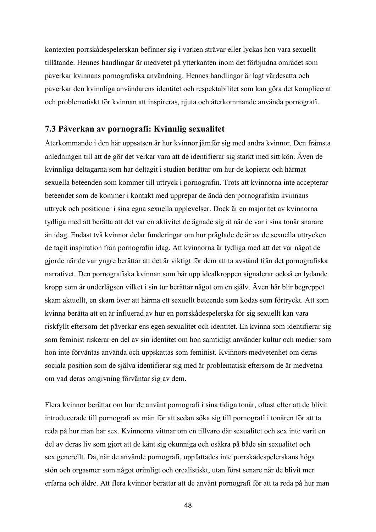kontexten porrskådespelerskan befinner sig i varken strävar eller lyckas hon vara sexuellt tillåtande. Hennes handlingar är medvetet på ytterkanten inom det förbjudna området som påverkar kvinnans pornografiska användning. Hennes handlingar är lågt värdesatta och påverkar den kvinnliga användarens identitet och respektabilitet som kan göra det komplicerat och problematiskt för kvinnan att inspireras, njuta och återkommande använda pornografi.

#### **7.3 Påverkan av pornografi: Kvinnlig sexualitet**

Återkommande i den här uppsatsen är hur kvinnor jämför sig med andra kvinnor. Den främsta anledningen till att de gör det verkar vara att de identifierar sig starkt med sitt kön. Även de kvinnliga deltagarna som har deltagit i studien berättar om hur de kopierat och härmat sexuella beteenden som kommer till uttryck i pornografin. Trots att kvinnorna inte accepterar beteendet som de kommer i kontakt med upprepar de ändå den pornografiska kvinnans uttryck och positioner i sina egna sexuella upplevelser. Dock är en majoritet av kvinnorna tydliga med att berätta att det var en aktivitet de ägnade sig åt när de var i sina tonår snarare än idag. Endast två kvinnor delar funderingar om hur präglade de är av de sexuella uttrycken de tagit inspiration från pornografin idag. Att kvinnorna är tydliga med att det var något de gjorde när de var yngre berättar att det är viktigt för dem att ta avstånd från det pornografiska narrativet. Den pornografiska kvinnan som bär upp idealkroppen signalerar också en lydande kropp som är underlägsen vilket i sin tur berättar något om en själv. Även här blir begreppet skam aktuellt, en skam över att härma ett sexuellt beteende som kodas som förtryckt. Att som kvinna berätta att en är influerad av hur en porrskådespelerska för sig sexuellt kan vara riskfyllt eftersom det påverkar ens egen sexualitet och identitet. En kvinna som identifierar sig som feminist riskerar en del av sin identitet om hon samtidigt använder kultur och medier som hon inte förväntas använda och uppskattas som feminist. Kvinnors medvetenhet om deras sociala position som de själva identifierar sig med är problematisk eftersom de är medvetna om vad deras omgivning förväntar sig av dem.

Flera kvinnor berättar om hur de använt pornografi i sina tidiga tonår, oftast efter att de blivit introducerade till pornografi av män för att sedan söka sig till pornografi i tonåren för att ta reda på hur man har sex. Kvinnorna vittnar om en tillvaro där sexualitet och sex inte varit en del av deras liv som gjort att de känt sig okunniga och osäkra på både sin sexualitet och sex generellt. Då, när de använde pornografi, uppfattades inte porrskådespelerskans höga stön och orgasmer som något orimligt och orealistiskt, utan först senare när de blivit mer erfarna och äldre. Att flera kvinnor berättar att de använt pornografi för att ta reda på hur man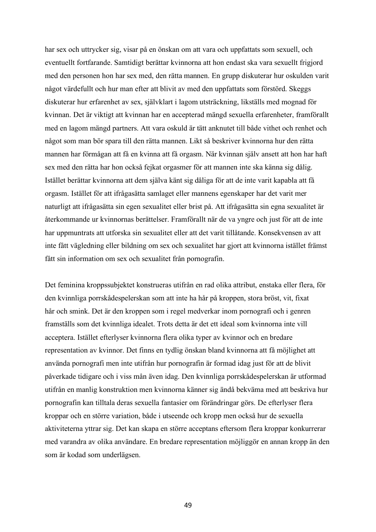har sex och uttrycker sig, visar på en önskan om att vara och uppfattats som sexuell, och eventuellt fortfarande. Samtidigt berättar kvinnorna att hon endast ska vara sexuellt frigjord med den personen hon har sex med, den rätta mannen. En grupp diskuterar hur oskulden varit något värdefullt och hur man efter att blivit av med den uppfattats som förstörd. Skeggs diskuterar hur erfarenhet av sex, självklart i lagom utsträckning, likställs med mognad för kvinnan. Det är viktigt att kvinnan har en accepterad mängd sexuella erfarenheter, framförallt med en lagom mängd partners. Att vara oskuld är tätt anknutet till både vithet och renhet och något som man bör spara till den rätta mannen. Likt så beskriver kvinnorna hur den rätta mannen har förmågan att få en kvinna att få orgasm. När kvinnan själv ansett att hon har haft sex med den rätta har hon också fejkat orgasmer för att mannen inte ska känna sig dålig. Istället berättar kvinnorna att dem själva känt sig dåliga för att de inte varit kapabla att få orgasm. Istället för att ifrågasätta samlaget eller mannens egenskaper har det varit mer naturligt att ifrågasätta sin egen sexualitet eller brist på. Att ifrågasätta sin egna sexualitet är återkommande ur kvinnornas berättelser. Framförallt när de va yngre och just för att de inte har uppmuntrats att utforska sin sexualitet eller att det varit tillåtande. Konsekvensen av att inte fått vägledning eller bildning om sex och sexualitet har gjort att kvinnorna istället främst fått sin information om sex och sexualitet från pornografin.

Det feminina kroppssubjektet konstrueras utifrån en rad olika attribut, enstaka eller flera, för den kvinnliga porrskådespelerskan som att inte ha hår på kroppen, stora bröst, vit, fixat hår och smink. Det är den kroppen som i regel medverkar inom pornografi och i genren framställs som det kvinnliga idealet. Trots detta är det ett ideal som kvinnorna inte vill acceptera. Istället efterlyser kvinnorna flera olika typer av kvinnor och en bredare representation av kvinnor. Det finns en tydlig önskan bland kvinnorna att få möjlighet att använda pornografi men inte utifrån hur pornografin är formad idag just för att de blivit påverkade tidigare och i viss mån även idag. Den kvinnliga porrskådespelerskan är utformad utifrån en manlig konstruktion men kvinnorna känner sig ändå bekväma med att beskriva hur pornografin kan tilltala deras sexuella fantasier om förändringar görs. De efterlyser flera kroppar och en större variation, både i utseende och kropp men också hur de sexuella aktiviteterna yttrar sig. Det kan skapa en större acceptans eftersom flera kroppar konkurrerar med varandra av olika användare. En bredare representation möjliggör en annan kropp än den som är kodad som underlägsen.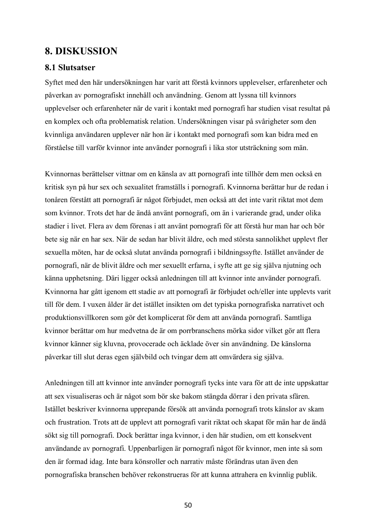## **8. DISKUSSION**

#### **8.1 Slutsatser**

Syftet med den här undersökningen har varit att förstå kvinnors upplevelser, erfarenheter och påverkan av pornografiskt innehåll och användning. Genom att lyssna till kvinnors upplevelser och erfarenheter när de varit i kontakt med pornografi har studien visat resultat på en komplex och ofta problematisk relation. Undersökningen visar på svårigheter som den kvinnliga användaren upplever när hon är i kontakt med pornografi som kan bidra med en förståelse till varför kvinnor inte använder pornografi i lika stor utsträckning som män.

Kvinnornas berättelser vittnar om en känsla av att pornografi inte tillhör dem men också en kritisk syn på hur sex och sexualitet framställs i pornografi. Kvinnorna berättar hur de redan i tonåren förstått att pornografi är något förbjudet, men också att det inte varit riktat mot dem som kvinnor. Trots det har de ändå använt pornografi, om än i varierande grad, under olika stadier i livet. Flera av dem förenas i att använt pornografi för att förstå hur man har och bör bete sig när en har sex. När de sedan har blivit äldre, och med största sannolikhet upplevt fler sexuella möten, har de också slutat använda pornografi i bildningssyfte. Istället använder de pornografi, när de blivit äldre och mer sexuellt erfarna, i syfte att ge sig själva njutning och känna upphetsning. Däri ligger också anledningen till att kvinnor inte använder pornografi. Kvinnorna har gått igenom ett stadie av att pornografi är förbjudet och/eller inte upplevts varit till för dem. I vuxen ålder är det istället insikten om det typiska pornografiska narrativet och produktionsvillkoren som gör det komplicerat för dem att använda pornografi. Samtliga kvinnor berättar om hur medvetna de är om porrbranschens mörka sidor vilket gör att flera kvinnor känner sig kluvna, provocerade och äcklade över sin användning. De känslorna påverkar till slut deras egen självbild och tvingar dem att omvärdera sig själva.

Anledningen till att kvinnor inte använder pornografi tycks inte vara för att de inte uppskattar att sex visualiseras och är något som bör ske bakom stängda dörrar i den privata sfären. Istället beskriver kvinnorna upprepande försök att använda pornografi trots känslor av skam och frustration. Trots att de upplevt att pornografi varit riktat och skapat för män har de ändå sökt sig till pornografi. Dock berättar inga kvinnor, i den här studien, om ett konsekvent användande av pornografi. Uppenbarligen är pornografi något för kvinnor, men inte så som den är formad idag. Inte bara könsroller och narrativ måste förändras utan även den pornografiska branschen behöver rekonstrueras för att kunna attrahera en kvinnlig publik.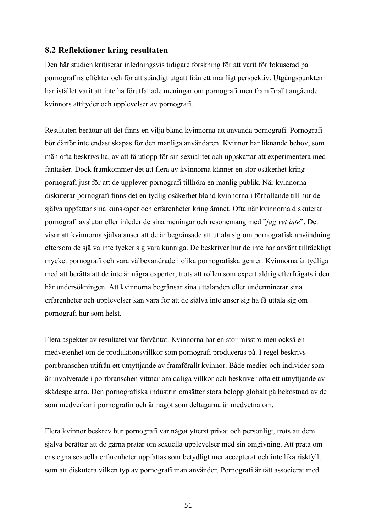#### **8.2 Reflektioner kring resultaten**

Den här studien kritiserar inledningsvis tidigare forskning för att varit för fokuserad på pornografins effekter och för att ständigt utgått från ett manligt perspektiv. Utgångspunkten har istället varit att inte ha förutfattade meningar om pornografi men framförallt angående kvinnors attityder och upplevelser av pornografi.

Resultaten berättar att det finns en vilja bland kvinnorna att använda pornografi. Pornografi bör därför inte endast skapas för den manliga användaren. Kvinnor har liknande behov, som män ofta beskrivs ha, av att få utlopp för sin sexualitet och uppskattar att experimentera med fantasier. Dock framkommer det att flera av kvinnorna känner en stor osäkerhet kring pornografi just för att de upplever pornografi tillhöra en manlig publik. När kvinnorna diskuterar pornografi finns det en tydlig osäkerhet bland kvinnorna i förhållande till hur de själva uppfattar sina kunskaper och erfarenheter kring ämnet. Ofta när kvinnorna diskuterar pornografi avslutar eller inleder de sina meningar och resonemang med "*jag vet inte*". Det visar att kvinnorna själva anser att de är begränsade att uttala sig om pornografisk användning eftersom de själva inte tycker sig vara kunniga. De beskriver hur de inte har använt tillräckligt mycket pornografi och vara välbevandrade i olika pornografiska genrer. Kvinnorna är tydliga med att berätta att de inte är några experter, trots att rollen som expert aldrig efterfrågats i den här undersökningen. Att kvinnorna begränsar sina uttalanden eller underminerar sina erfarenheter och upplevelser kan vara för att de själva inte anser sig ha få uttala sig om pornografi hur som helst.

Flera aspekter av resultatet var förväntat. Kvinnorna har en stor misstro men också en medvetenhet om de produktionsvillkor som pornografi produceras på. I regel beskrivs porrbranschen utifrån ett utnyttjande av framförallt kvinnor. Både medier och individer som är involverade i porrbranschen vittnar om dåliga villkor och beskriver ofta ett utnyttjande av skådespelarna. Den pornografiska industrin omsätter stora belopp globalt på bekostnad av de som medverkar i pornografin och är något som deltagarna är medvetna om.

Flera kvinnor beskrev hur pornografi var något ytterst privat och personligt, trots att dem själva berättar att de gärna pratar om sexuella upplevelser med sin omgivning. Att prata om ens egna sexuella erfarenheter uppfattas som betydligt mer accepterat och inte lika riskfyllt som att diskutera vilken typ av pornografi man använder. Pornografi är tätt associerat med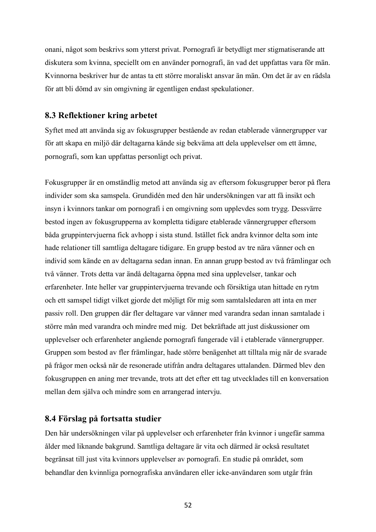onani, något som beskrivs som ytterst privat. Pornografi är betydligt mer stigmatiserande att diskutera som kvinna, speciellt om en använder pornografi, än vad det uppfattas vara för män. Kvinnorna beskriver hur de antas ta ett större moraliskt ansvar än män. Om det är av en rädsla för att bli dömd av sin omgivning är egentligen endast spekulationer.

#### **8.3 Reflektioner kring arbetet**

Syftet med att använda sig av fokusgrupper bestående av redan etablerade vännergrupper var för att skapa en miljö där deltagarna kände sig bekväma att dela upplevelser om ett ämne, pornografi, som kan uppfattas personligt och privat.

Fokusgrupper är en omständlig metod att använda sig av eftersom fokusgrupper beror på flera individer som ska samspela. Grundidén med den här undersökningen var att få insikt och insyn i kvinnors tankar om pornografi i en omgivning som upplevdes som trygg. Dessvärre bestod ingen av fokusgrupperna av kompletta tidigare etablerade vännergrupper eftersom båda gruppintervjuerna fick avhopp i sista stund. Istället fick andra kvinnor delta som inte hade relationer till samtliga deltagare tidigare. En grupp bestod av tre nära vänner och en individ som kände en av deltagarna sedan innan. En annan grupp bestod av två främlingar och två vänner. Trots detta var ändå deltagarna öppna med sina upplevelser, tankar och erfarenheter. Inte heller var gruppintervjuerna trevande och försiktiga utan hittade en rytm och ett samspel tidigt vilket gjorde det möjligt för mig som samtalsledaren att inta en mer passiv roll. Den gruppen där fler deltagare var vänner med varandra sedan innan samtalade i större mån med varandra och mindre med mig. Det bekräftade att just diskussioner om upplevelser och erfarenheter angående pornografi fungerade väl i etablerade vännergrupper. Gruppen som bestod av fler främlingar, hade större benägenhet att tilltala mig när de svarade på frågor men också när de resonerade utifrån andra deltagares uttalanden. Därmed blev den fokusgruppen en aning mer trevande, trots att det efter ett tag utvecklades till en konversation mellan dem själva och mindre som en arrangerad intervju.

#### **8.4 Förslag på fortsatta studier**

Den här undersökningen vilar på upplevelser och erfarenheter från kvinnor i ungefär samma ålder med liknande bakgrund. Samtliga deltagare är vita och därmed är också resultatet begränsat till just vita kvinnors upplevelser av pornografi. En studie på området, som behandlar den kvinnliga pornografiska användaren eller icke-användaren som utgår från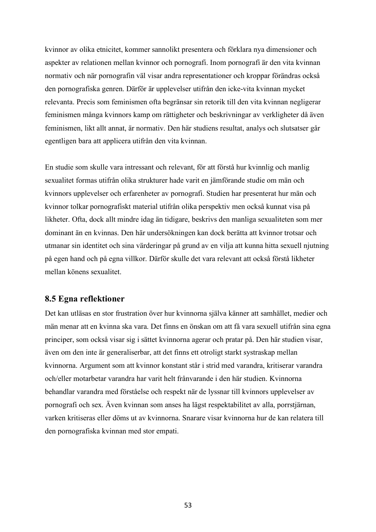kvinnor av olika etnicitet, kommer sannolikt presentera och förklara nya dimensioner och aspekter av relationen mellan kvinnor och pornografi. Inom pornografi är den vita kvinnan normativ och när pornografin väl visar andra representationer och kroppar förändras också den pornografiska genren. Därför är upplevelser utifrån den icke-vita kvinnan mycket relevanta. Precis som feminismen ofta begränsar sin retorik till den vita kvinnan negligerar feminismen många kvinnors kamp om rättigheter och beskrivningar av verkligheter då även feminismen, likt allt annat, är normativ. Den här studiens resultat, analys och slutsatser går egentligen bara att applicera utifrån den vita kvinnan.

En studie som skulle vara intressant och relevant, för att förstå hur kvinnlig och manlig sexualitet formas utifrån olika strukturer hade varit en jämförande studie om män och kvinnors upplevelser och erfarenheter av pornografi. Studien har presenterat hur män och kvinnor tolkar pornografiskt material utifrån olika perspektiv men också kunnat visa på likheter. Ofta, dock allt mindre idag än tidigare, beskrivs den manliga sexualiteten som mer dominant än en kvinnas. Den här undersökningen kan dock berätta att kvinnor trotsar och utmanar sin identitet och sina värderingar på grund av en vilja att kunna hitta sexuell njutning på egen hand och på egna villkor. Därför skulle det vara relevant att också förstå likheter mellan könens sexualitet.

#### **8.5 Egna reflektioner**

Det kan utläsas en stor frustration över hur kvinnorna själva känner att samhället, medier och män menar att en kvinna ska vara. Det finns en önskan om att få vara sexuell utifrån sina egna principer, som också visar sig i sättet kvinnorna agerar och pratar på. Den här studien visar, även om den inte är generaliserbar, att det finns ett otroligt starkt systraskap mellan kvinnorna. Argument som att kvinnor konstant står i strid med varandra, kritiserar varandra och/eller motarbetar varandra har varit helt frånvarande i den här studien. Kvinnorna behandlar varandra med förståelse och respekt när de lyssnar till kvinnors upplevelser av pornografi och sex. Även kvinnan som anses ha lägst respektabilitet av alla, porrstjärnan, varken kritiseras eller döms ut av kvinnorna. Snarare visar kvinnorna hur de kan relatera till den pornografiska kvinnan med stor empati.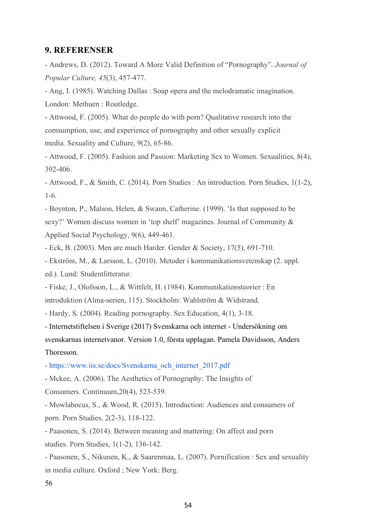#### **9. REFERENSER**

- Andrews, D. (2012). Toward A More Valid Definition of "Pornography". *Journal of Popular Culture, 45*(3), 457-477.

- Ang, I. (1985). Watching Dallas : Soap opera and the melodramatic imagination. London: Methuen : Routledge.

- Attwood, F. (2005). What do people do with porn? Qualitative research into the comsumption, use, and experience of pornography and other sexually explicit media. Sexuality and Culture, 9(2), 65-86.

- Attwood, F. (2005). Fashion and Passion: Marketing Sex to Women. Sexualities, 8(4), 392-406.

- Attwood, F., & Smith, C. (2014). Porn Studies : An introduction. Porn Studies, 1(1-2), 1-6.

- Boynton, P., Malson, Helen, & Swann, Catherine. (1999). 'Is that supposed to be sexy?' Women discuss women in 'top shelf' magazines. Journal of Community & Applied Social Psychology, 9(6), 449-461.

- Eck, B. (2003). Men are much Harder. Gender & Society, 17(5), 691-710.

- Ekström, M., & Larsson, L. (2010). Metoder i kommunikationsvetenskap (2. uppl. ed.). Lund: Studentlitteratur.

- Fiske, J., Olofsson, L., & Wittfelt, H. (1984). Kommunikationsteorier : En

introduktion (Alma-serien, 115). Stockholm: Wahlström & Widstrand.

- Hardy, S. (2004). Reading pornography. Sex Education, 4(1), 3-18.

- Internetstiftelsen i Sverige (2017) Svenskarna och internet - Undersökning om svenskarnas internetvanor. Version 1.0, första upplagan. Pamela Davidsson, Anders Thoresson.

- https://www.iis.se/docs/Svenskarna\_och\_internet\_2017.pdf

- Mckee, A. (2006). The Aesthetics of Pornography: The Insights of Consumers. Continuum,20(4), 523-539.

- Mowlabocus, S., & Wood, R. (2015). Introduction: Audiences and consumers of porn. Porn Studies, 2(2-3), 118-122.

- Paasonen, S. (2014). Between meaning and mattering: On affect and porn studies. Porn Studies, 1(1-2), 136-142.

- Paasonen, S., Nikunen, K., & Saarenmaa, L. (2007). Pornification : Sex and sexuality in media culture. Oxford ; New York: Berg.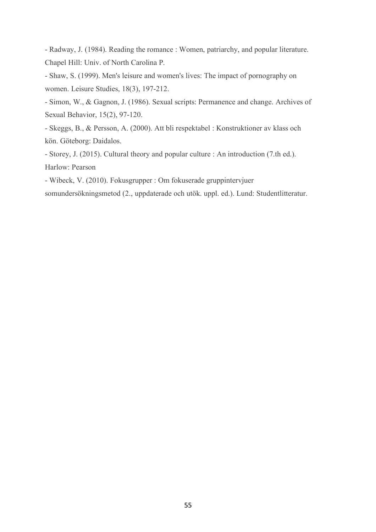- Radway, J. (1984). Reading the romance : Women, patriarchy, and popular literature. Chapel Hill: Univ. of North Carolina P.

- Shaw, S. (1999). Men's leisure and women's lives: The impact of pornography on women. Leisure Studies, 18(3), 197-212.

- Simon, W., & Gagnon, J. (1986). Sexual scripts: Permanence and change. Archives of Sexual Behavior, 15(2), 97-120.

- Skeggs, B., & Persson, A. (2000). Att bli respektabel : Konstruktioner av klass och kön. Göteborg: Daidalos.

- Storey, J. (2015). Cultural theory and popular culture : An introduction (7.th ed.). Harlow: Pearson

- Wibeck, V. (2010). Fokusgrupper : Om fokuserade gruppintervjuer

somundersökningsmetod (2., uppdaterade och utök. uppl. ed.). Lund: Studentlitteratur.